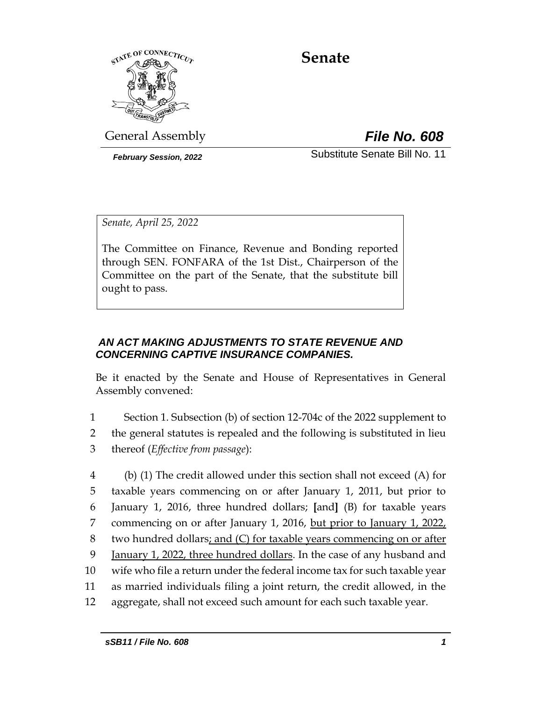

# **Senate**

General Assembly *File No. 608*

*February Session, 2022* Substitute Senate Bill No. 11

*Senate, April 25, 2022*

The Committee on Finance, Revenue and Bonding reported through SEN. FONFARA of the 1st Dist., Chairperson of the Committee on the part of the Senate, that the substitute bill ought to pass.

## *AN ACT MAKING ADJUSTMENTS TO STATE REVENUE AND CONCERNING CAPTIVE INSURANCE COMPANIES.*

Be it enacted by the Senate and House of Representatives in General Assembly convened:

- 1 Section 1. Subsection (b) of section 12-704c of the 2022 supplement to 2 the general statutes is repealed and the following is substituted in lieu 3 thereof (*Effective from passage*):
- 4 (b) (1) The credit allowed under this section shall not exceed (A) for 5 taxable years commencing on or after January 1, 2011, but prior to 6 January 1, 2016, three hundred dollars; **[**and**]** (B) for taxable years 7 commencing on or after January 1, 2016, but prior to January 1, 2022, 8 two hundred dollars; and (C) for taxable years commencing on or after 9 January 1, 2022, three hundred dollars. In the case of any husband and 10 wife who file a return under the federal income tax for such taxable year 11 as married individuals filing a joint return, the credit allowed, in the 12 aggregate, shall not exceed such amount for each such taxable year.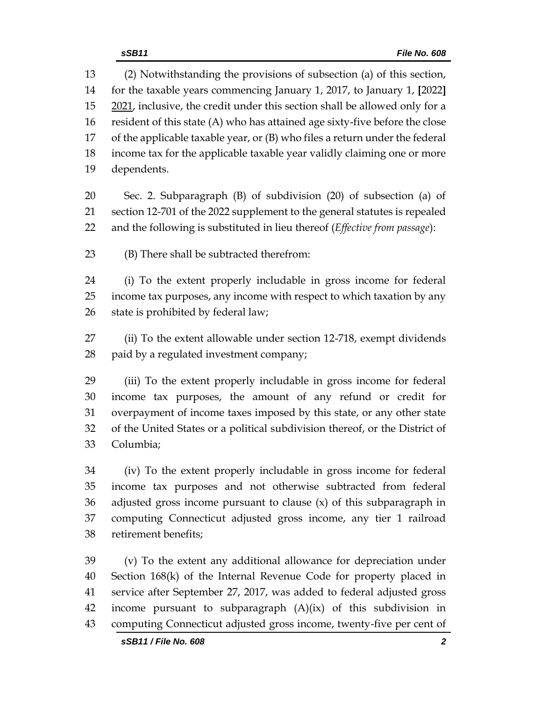(2) Notwithstanding the provisions of subsection (a) of this section, for the taxable years commencing January 1, 2017, to January 1, **[**2022**]** 15 2021, inclusive, the credit under this section shall be allowed only for a resident of this state (A) who has attained age sixty-five before the close of the applicable taxable year, or (B) who files a return under the federal income tax for the applicable taxable year validly claiming one or more dependents.

 Sec. 2. Subparagraph (B) of subdivision (20) of subsection (a) of section 12-701 of the 2022 supplement to the general statutes is repealed and the following is substituted in lieu thereof (*Effective from passage*):

(B) There shall be subtracted therefrom:

 (i) To the extent properly includable in gross income for federal income tax purposes, any income with respect to which taxation by any 26 state is prohibited by federal law;

 (ii) To the extent allowable under section 12-718, exempt dividends paid by a regulated investment company;

 (iii) To the extent properly includable in gross income for federal income tax purposes, the amount of any refund or credit for overpayment of income taxes imposed by this state, or any other state of the United States or a political subdivision thereof, or the District of Columbia;

 (iv) To the extent properly includable in gross income for federal income tax purposes and not otherwise subtracted from federal adjusted gross income pursuant to clause (x) of this subparagraph in computing Connecticut adjusted gross income, any tier 1 railroad retirement benefits;

 (v) To the extent any additional allowance for depreciation under Section 168(k) of the Internal Revenue Code for property placed in service after September 27, 2017, was added to federal adjusted gross income pursuant to subparagraph (A)(ix) of this subdivision in computing Connecticut adjusted gross income, twenty-five per cent of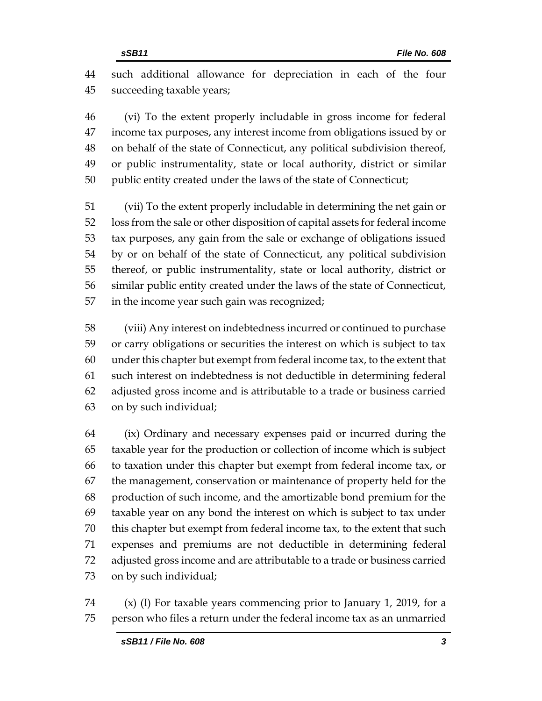such additional allowance for depreciation in each of the four succeeding taxable years;

 (vi) To the extent properly includable in gross income for federal income tax purposes, any interest income from obligations issued by or on behalf of the state of Connecticut, any political subdivision thereof, or public instrumentality, state or local authority, district or similar public entity created under the laws of the state of Connecticut;

 (vii) To the extent properly includable in determining the net gain or loss from the sale or other disposition of capital assets for federal income tax purposes, any gain from the sale or exchange of obligations issued by or on behalf of the state of Connecticut, any political subdivision thereof, or public instrumentality, state or local authority, district or similar public entity created under the laws of the state of Connecticut, in the income year such gain was recognized;

 (viii) Any interest on indebtedness incurred or continued to purchase or carry obligations or securities the interest on which is subject to tax under this chapter but exempt from federal income tax, to the extent that such interest on indebtedness is not deductible in determining federal adjusted gross income and is attributable to a trade or business carried on by such individual;

 (ix) Ordinary and necessary expenses paid or incurred during the taxable year for the production or collection of income which is subject to taxation under this chapter but exempt from federal income tax, or the management, conservation or maintenance of property held for the production of such income, and the amortizable bond premium for the taxable year on any bond the interest on which is subject to tax under this chapter but exempt from federal income tax, to the extent that such expenses and premiums are not deductible in determining federal adjusted gross income and are attributable to a trade or business carried on by such individual;

 (x) (I) For taxable years commencing prior to January 1, 2019, for a person who files a return under the federal income tax as an unmarried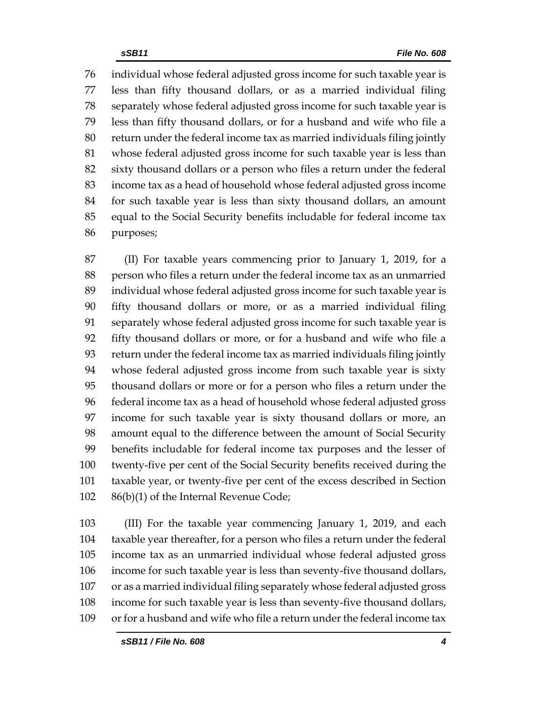individual whose federal adjusted gross income for such taxable year is less than fifty thousand dollars, or as a married individual filing separately whose federal adjusted gross income for such taxable year is less than fifty thousand dollars, or for a husband and wife who file a return under the federal income tax as married individuals filing jointly whose federal adjusted gross income for such taxable year is less than sixty thousand dollars or a person who files a return under the federal income tax as a head of household whose federal adjusted gross income for such taxable year is less than sixty thousand dollars, an amount equal to the Social Security benefits includable for federal income tax purposes;

 (II) For taxable years commencing prior to January 1, 2019, for a person who files a return under the federal income tax as an unmarried individual whose federal adjusted gross income for such taxable year is fifty thousand dollars or more, or as a married individual filing separately whose federal adjusted gross income for such taxable year is fifty thousand dollars or more, or for a husband and wife who file a return under the federal income tax as married individuals filing jointly whose federal adjusted gross income from such taxable year is sixty thousand dollars or more or for a person who files a return under the federal income tax as a head of household whose federal adjusted gross income for such taxable year is sixty thousand dollars or more, an amount equal to the difference between the amount of Social Security benefits includable for federal income tax purposes and the lesser of twenty-five per cent of the Social Security benefits received during the taxable year, or twenty-five per cent of the excess described in Section 86(b)(1) of the Internal Revenue Code;

 (III) For the taxable year commencing January 1, 2019, and each taxable year thereafter, for a person who files a return under the federal income tax as an unmarried individual whose federal adjusted gross income for such taxable year is less than seventy-five thousand dollars, or as a married individual filing separately whose federal adjusted gross income for such taxable year is less than seventy-five thousand dollars, or for a husband and wife who file a return under the federal income tax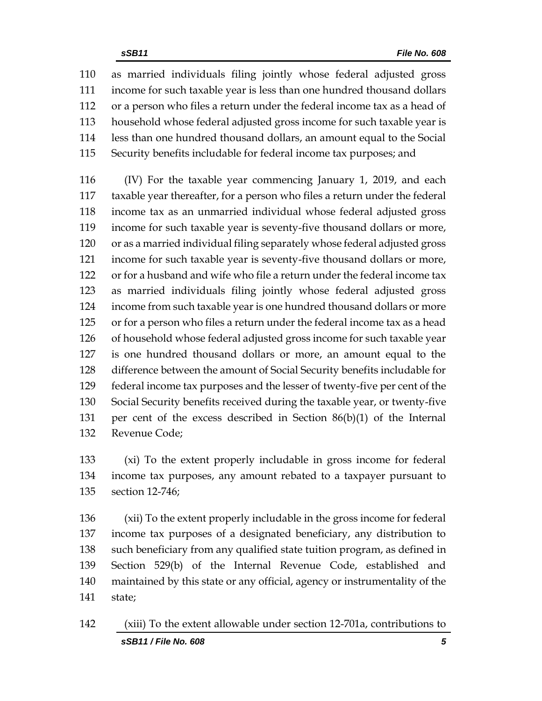as married individuals filing jointly whose federal adjusted gross income for such taxable year is less than one hundred thousand dollars or a person who files a return under the federal income tax as a head of household whose federal adjusted gross income for such taxable year is less than one hundred thousand dollars, an amount equal to the Social Security benefits includable for federal income tax purposes; and

 (IV) For the taxable year commencing January 1, 2019, and each taxable year thereafter, for a person who files a return under the federal income tax as an unmarried individual whose federal adjusted gross income for such taxable year is seventy-five thousand dollars or more, or as a married individual filing separately whose federal adjusted gross income for such taxable year is seventy-five thousand dollars or more, or for a husband and wife who file a return under the federal income tax as married individuals filing jointly whose federal adjusted gross income from such taxable year is one hundred thousand dollars or more or for a person who files a return under the federal income tax as a head of household whose federal adjusted gross income for such taxable year is one hundred thousand dollars or more, an amount equal to the difference between the amount of Social Security benefits includable for federal income tax purposes and the lesser of twenty-five per cent of the Social Security benefits received during the taxable year, or twenty-five per cent of the excess described in Section 86(b)(1) of the Internal Revenue Code;

 (xi) To the extent properly includable in gross income for federal income tax purposes, any amount rebated to a taxpayer pursuant to section 12-746;

 (xii) To the extent properly includable in the gross income for federal income tax purposes of a designated beneficiary, any distribution to such beneficiary from any qualified state tuition program, as defined in Section 529(b) of the Internal Revenue Code, established and maintained by this state or any official, agency or instrumentality of the state;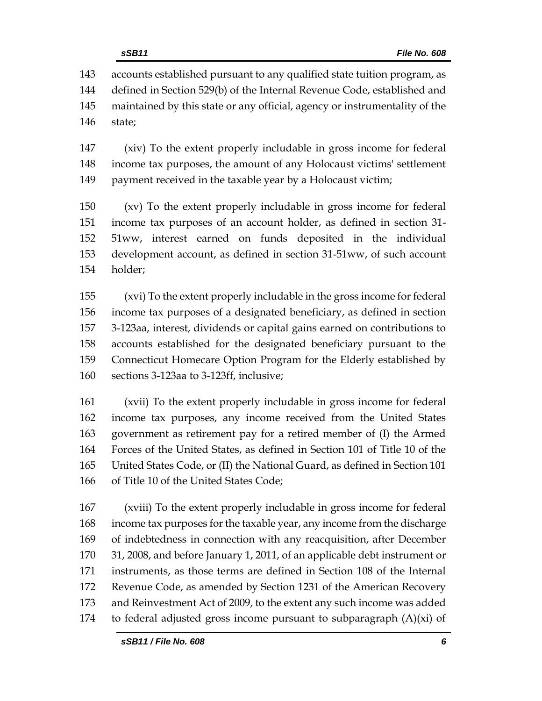accounts established pursuant to any qualified state tuition program, as defined in Section 529(b) of the Internal Revenue Code, established and maintained by this state or any official, agency or instrumentality of the state;

 (xiv) To the extent properly includable in gross income for federal income tax purposes, the amount of any Holocaust victims' settlement 149 payment received in the taxable year by a Holocaust victim;

 (xv) To the extent properly includable in gross income for federal income tax purposes of an account holder, as defined in section 31- 51ww, interest earned on funds deposited in the individual development account, as defined in section 31-51ww, of such account holder;

 (xvi) To the extent properly includable in the gross income for federal income tax purposes of a designated beneficiary, as defined in section 3-123aa, interest, dividends or capital gains earned on contributions to accounts established for the designated beneficiary pursuant to the Connecticut Homecare Option Program for the Elderly established by sections 3-123aa to 3-123ff, inclusive;

 (xvii) To the extent properly includable in gross income for federal income tax purposes, any income received from the United States government as retirement pay for a retired member of (I) the Armed Forces of the United States, as defined in Section 101 of Title 10 of the United States Code, or (II) the National Guard, as defined in Section 101 of Title 10 of the United States Code;

 (xviii) To the extent properly includable in gross income for federal income tax purposes for the taxable year, any income from the discharge of indebtedness in connection with any reacquisition, after December 31, 2008, and before January 1, 2011, of an applicable debt instrument or instruments, as those terms are defined in Section 108 of the Internal Revenue Code, as amended by Section 1231 of the American Recovery and Reinvestment Act of 2009, to the extent any such income was added 174 to federal adjusted gross income pursuant to subparagraph  $(A)(xi)$  of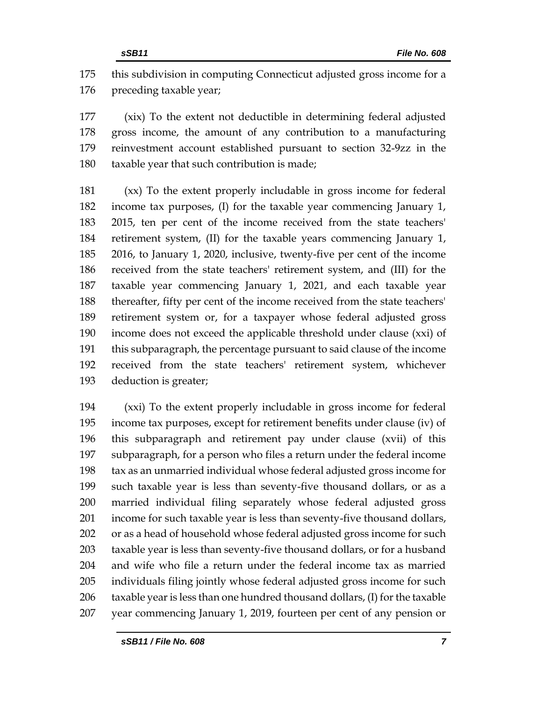this subdivision in computing Connecticut adjusted gross income for a preceding taxable year;

 (xix) To the extent not deductible in determining federal adjusted gross income, the amount of any contribution to a manufacturing reinvestment account established pursuant to section 32-9zz in the taxable year that such contribution is made;

 (xx) To the extent properly includable in gross income for federal income tax purposes, (I) for the taxable year commencing January 1, 2015, ten per cent of the income received from the state teachers' retirement system, (II) for the taxable years commencing January 1, 2016, to January 1, 2020, inclusive, twenty-five per cent of the income received from the state teachers' retirement system, and (III) for the taxable year commencing January 1, 2021, and each taxable year thereafter, fifty per cent of the income received from the state teachers' retirement system or, for a taxpayer whose federal adjusted gross income does not exceed the applicable threshold under clause (xxi) of this subparagraph, the percentage pursuant to said clause of the income received from the state teachers' retirement system, whichever deduction is greater;

 (xxi) To the extent properly includable in gross income for federal income tax purposes, except for retirement benefits under clause (iv) of this subparagraph and retirement pay under clause (xvii) of this subparagraph, for a person who files a return under the federal income tax as an unmarried individual whose federal adjusted gross income for such taxable year is less than seventy-five thousand dollars, or as a married individual filing separately whose federal adjusted gross income for such taxable year is less than seventy-five thousand dollars, or as a head of household whose federal adjusted gross income for such taxable year is less than seventy-five thousand dollars, or for a husband and wife who file a return under the federal income tax as married individuals filing jointly whose federal adjusted gross income for such taxable year is less than one hundred thousand dollars, (I) for the taxable year commencing January 1, 2019, fourteen per cent of any pension or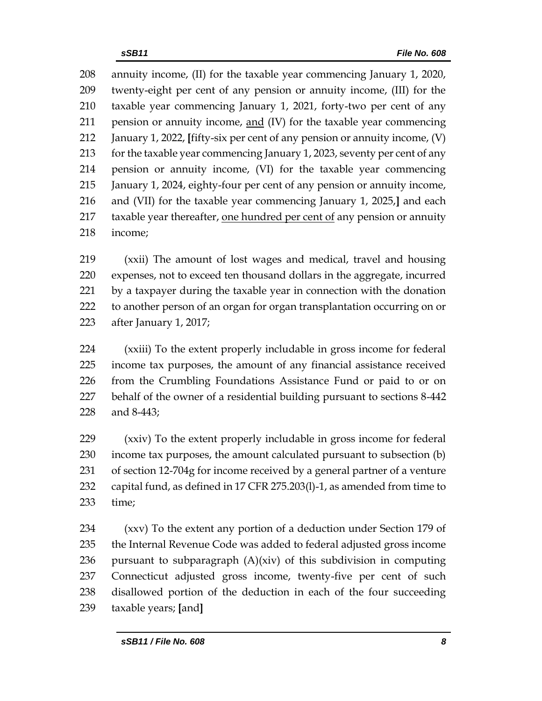annuity income, (II) for the taxable year commencing January 1, 2020, twenty-eight per cent of any pension or annuity income, (III) for the taxable year commencing January 1, 2021, forty-two per cent of any pension or annuity income, and (IV) for the taxable year commencing January 1, 2022, **[**fifty-six per cent of any pension or annuity income, (V) for the taxable year commencing January 1, 2023, seventy per cent of any pension or annuity income, (VI) for the taxable year commencing January 1, 2024, eighty-four per cent of any pension or annuity income, and (VII) for the taxable year commencing January 1, 2025,**]** and each taxable year thereafter, one hundred per cent of any pension or annuity income;

 (xxii) The amount of lost wages and medical, travel and housing expenses, not to exceed ten thousand dollars in the aggregate, incurred by a taxpayer during the taxable year in connection with the donation to another person of an organ for organ transplantation occurring on or after January 1, 2017;

 (xxiii) To the extent properly includable in gross income for federal income tax purposes, the amount of any financial assistance received from the Crumbling Foundations Assistance Fund or paid to or on behalf of the owner of a residential building pursuant to sections 8-442 and 8-443;

 (xxiv) To the extent properly includable in gross income for federal income tax purposes, the amount calculated pursuant to subsection (b) of section 12-704g for income received by a general partner of a venture capital fund, as defined in 17 CFR 275.203(l)-1, as amended from time to time;

 (xxv) To the extent any portion of a deduction under Section 179 of the Internal Revenue Code was added to federal adjusted gross income 236 pursuant to subparagraph  $(A)(xiv)$  of this subdivision in computing Connecticut adjusted gross income, twenty-five per cent of such disallowed portion of the deduction in each of the four succeeding taxable years; **[**and**]**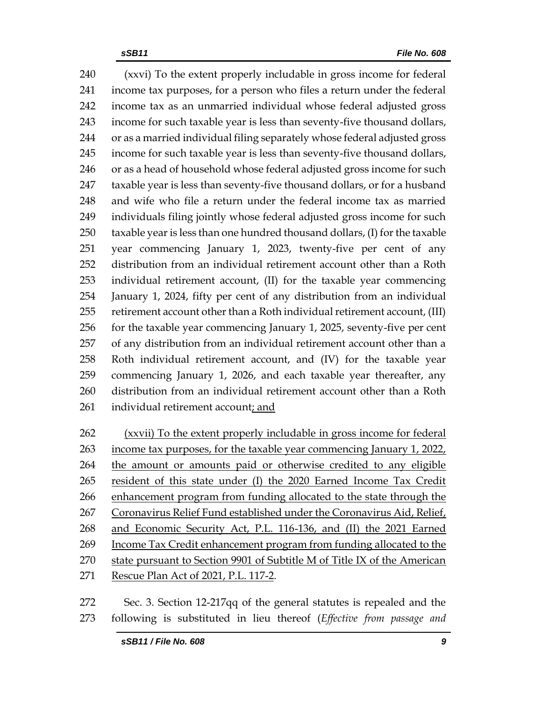(xxvi) To the extent properly includable in gross income for federal income tax purposes, for a person who files a return under the federal income tax as an unmarried individual whose federal adjusted gross income for such taxable year is less than seventy-five thousand dollars, or as a married individual filing separately whose federal adjusted gross income for such taxable year is less than seventy-five thousand dollars, 246 or as a head of household whose federal adjusted gross income for such taxable year is less than seventy-five thousand dollars, or for a husband and wife who file a return under the federal income tax as married individuals filing jointly whose federal adjusted gross income for such taxable year is less than one hundred thousand dollars, (I) for the taxable year commencing January 1, 2023, twenty-five per cent of any distribution from an individual retirement account other than a Roth individual retirement account, (II) for the taxable year commencing January 1, 2024, fifty per cent of any distribution from an individual retirement account other than a Roth individual retirement account, (III) for the taxable year commencing January 1, 2025, seventy-five per cent of any distribution from an individual retirement account other than a Roth individual retirement account, and (IV) for the taxable year commencing January 1, 2026, and each taxable year thereafter, any distribution from an individual retirement account other than a Roth individual retirement account; and

 (xxvii) To the extent properly includable in gross income for federal income tax purposes, for the taxable year commencing January 1, 2022, the amount or amounts paid or otherwise credited to any eligible resident of this state under (I) the 2020 Earned Income Tax Credit enhancement program from funding allocated to the state through the 267 Coronavirus Relief Fund established under the Coronavirus Aid, Relief, and Economic Security Act, P.L. 116-136, and (II) the 2021 Earned 269 Income Tax Credit enhancement program from funding allocated to the state pursuant to Section 9901 of Subtitle M of Title IX of the American Rescue Plan Act of 2021, P.L. 117-2.

 Sec. 3. Section 12-217qq of the general statutes is repealed and the following is substituted in lieu thereof (*Effective from passage and*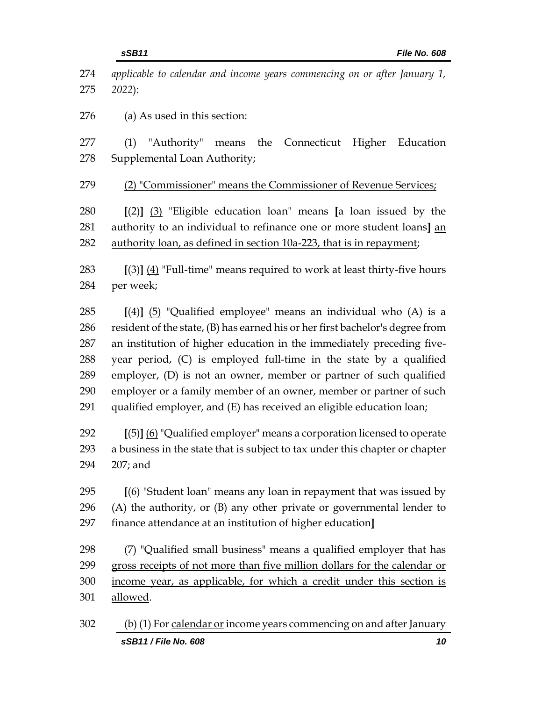| 274        | applicable to calendar and income years commencing on or after January 1,                       |
|------------|-------------------------------------------------------------------------------------------------|
| 275        | 2022):                                                                                          |
| 276        | (a) As used in this section:                                                                    |
| 277<br>278 | "Authority" means the Connecticut<br>Higher<br>Education<br>(1)<br>Supplemental Loan Authority; |
| 279        | (2) "Commissioner" means the Commissioner of Revenue Services;                                  |
| 280        | $[(2)]$ $(3)$ "Eligible education loan" means [a loan issued by the                             |
| 281        | authority to an individual to refinance one or more student loans] an                           |
| 282        | authority loan, as defined in section 10a-223, that is in repayment;                            |
| 283        | $[3]$ $(4)$ "Full-time" means required to work at least thirty-five hours                       |
| 284        | per week;                                                                                       |
| 285        | $[(4)]$ (5) "Qualified employee" means an individual who (A) is a                               |
| 286        | resident of the state, (B) has earned his or her first bachelor's degree from                   |
| 287        | an institution of higher education in the immediately preceding five-                           |
| 288        | year period, (C) is employed full-time in the state by a qualified                              |
| 289        | employer, (D) is not an owner, member or partner of such qualified                              |
| 290        | employer or a family member of an owner, member or partner of such                              |
| 291        | qualified employer, and (E) has received an eligible education loan;                            |
| 292        | [(5)] (6) "Qualified employer" means a corporation licensed to operate                          |
| 293        | a business in the state that is subject to tax under this chapter or chapter                    |
| 294        | 207; and                                                                                        |
| 295        | [(6) "Student loan" means any loan in repayment that was issued by                              |
| 296        | (A) the authority, or $(B)$ any other private or governmental lender to                         |
| 297        | finance attendance at an institution of higher education]                                       |
| 298        | (7) "Qualified small business" means a qualified employer that has                              |
| 299        | gross receipts of not more than five million dollars for the calendar or                        |
| 300        | income year, as applicable, for which a credit under this section is                            |
| 301        | allowed.                                                                                        |
| 302        | (b) (1) For calendar or income years commencing on and after January                            |
|            | sSB11 / File No. 608<br>10                                                                      |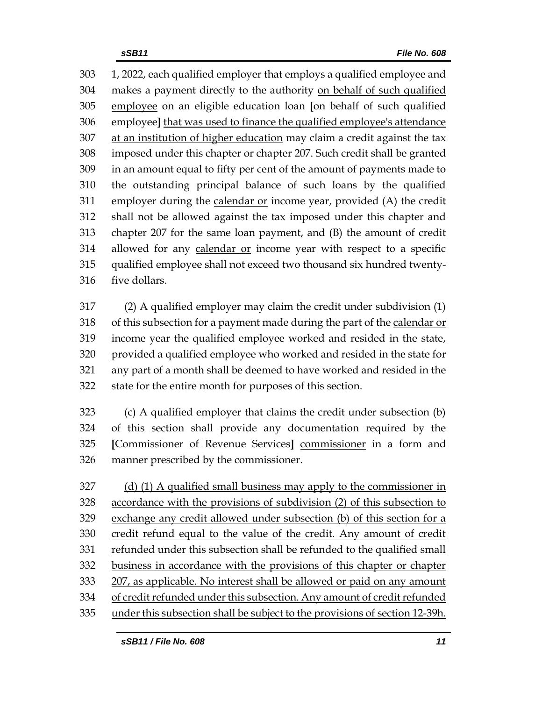1, 2022, each qualified employer that employs a qualified employee and makes a payment directly to the authority on behalf of such qualified employee on an eligible education loan **[**on behalf of such qualified employee**]** that was used to finance the qualified employee's attendance 307 at an institution of higher education may claim a credit against the tax imposed under this chapter or chapter 207. Such credit shall be granted in an amount equal to fifty per cent of the amount of payments made to the outstanding principal balance of such loans by the qualified employer during the calendar or income year, provided (A) the credit shall not be allowed against the tax imposed under this chapter and chapter 207 for the same loan payment, and (B) the amount of credit allowed for any calendar or income year with respect to a specific qualified employee shall not exceed two thousand six hundred twenty-five dollars.

 (2) A qualified employer may claim the credit under subdivision (1) of this subsection for a payment made during the part of the calendar or income year the qualified employee worked and resided in the state, provided a qualified employee who worked and resided in the state for any part of a month shall be deemed to have worked and resided in the state for the entire month for purposes of this section.

 (c) A qualified employer that claims the credit under subsection (b) of this section shall provide any documentation required by the **[**Commissioner of Revenue Services**]** commissioner in a form and manner prescribed by the commissioner.

 (d) (1) A qualified small business may apply to the commissioner in accordance with the provisions of subdivision (2) of this subsection to exchange any credit allowed under subsection (b) of this section for a credit refund equal to the value of the credit. Any amount of credit 331 refunded under this subsection shall be refunded to the qualified small business in accordance with the provisions of this chapter or chapter 207, as applicable. No interest shall be allowed or paid on any amount of credit refunded under this subsection. Any amount of credit refunded under this subsection shall be subject to the provisions of section 12-39h.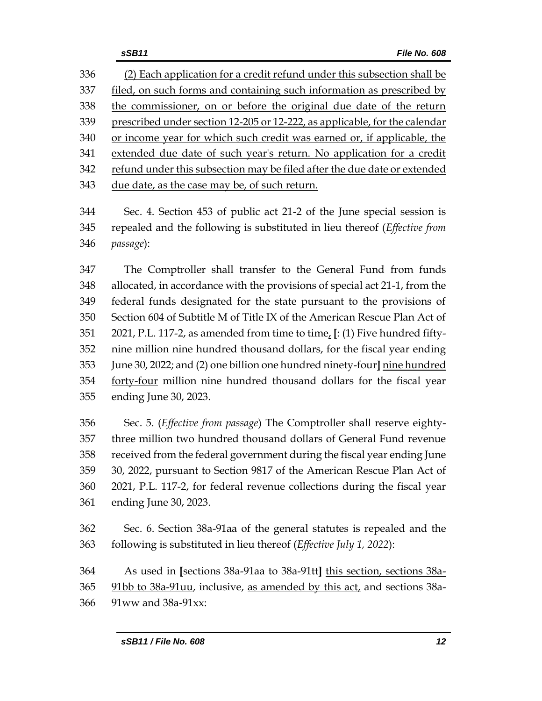(2) Each application for a credit refund under this subsection shall be filed, on such forms and containing such information as prescribed by the commissioner, on or before the original due date of the return prescribed under section 12-205 or 12-222, as applicable, for the calendar or income year for which such credit was earned or, if applicable, the extended due date of such year's return. No application for a credit refund under this subsection may be filed after the due date or extended due date, as the case may be, of such return.

 Sec. 4. Section 453 of public act 21-2 of the June special session is repealed and the following is substituted in lieu thereof (*Effective from passage*):

 The Comptroller shall transfer to the General Fund from funds allocated, in accordance with the provisions of special act 21-1, from the federal funds designated for the state pursuant to the provisions of Section 604 of Subtitle M of Title IX of the American Rescue Plan Act of 2021, P.L. 117-2, as amended from time to time, **[**: (1) Five hundred fifty- nine million nine hundred thousand dollars, for the fiscal year ending June 30, 2022; and (2) one billion one hundred ninety-four**]** nine hundred forty-four million nine hundred thousand dollars for the fiscal year ending June 30, 2023.

 Sec. 5. (*Effective from passage*) The Comptroller shall reserve eighty- three million two hundred thousand dollars of General Fund revenue received from the federal government during the fiscal year ending June 30, 2022, pursuant to Section 9817 of the American Rescue Plan Act of 2021, P.L. 117-2, for federal revenue collections during the fiscal year ending June 30, 2023.

 Sec. 6. Section 38a-91aa of the general statutes is repealed and the following is substituted in lieu thereof (*Effective July 1, 2022*):

 As used in **[**sections 38a-91aa to 38a-91tt**]** this section, sections 38a- 91bb to 38a-91uu, inclusive, as amended by this act, and sections 38a-91ww and 38a-91xx: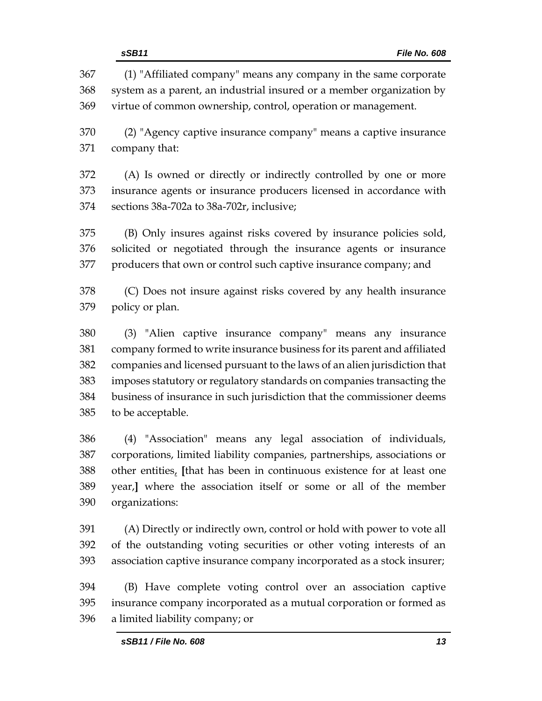(1) "Affiliated company" means any company in the same corporate system as a parent, an industrial insured or a member organization by virtue of common ownership, control, operation or management. (2) "Agency captive insurance company" means a captive insurance company that: (A) Is owned or directly or indirectly controlled by one or more insurance agents or insurance producers licensed in accordance with sections 38a-702a to 38a-702r, inclusive; (B) Only insures against risks covered by insurance policies sold, solicited or negotiated through the insurance agents or insurance producers that own or control such captive insurance company; and (C) Does not insure against risks covered by any health insurance policy or plan. (3) "Alien captive insurance company" means any insurance company formed to write insurance business for its parent and affiliated companies and licensed pursuant to the laws of an alien jurisdiction that imposes statutory or regulatory standards on companies transacting the business of insurance in such jurisdiction that the commissioner deems to be acceptable. (4) "Association" means any legal association of individuals, corporations, limited liability companies, partnerships, associations or

 other entities, **[**that has been in continuous existence for at least one year,**]** where the association itself or some or all of the member organizations:

 (A) Directly or indirectly own, control or hold with power to vote all of the outstanding voting securities or other voting interests of an association captive insurance company incorporated as a stock insurer;

 (B) Have complete voting control over an association captive insurance company incorporated as a mutual corporation or formed as a limited liability company; or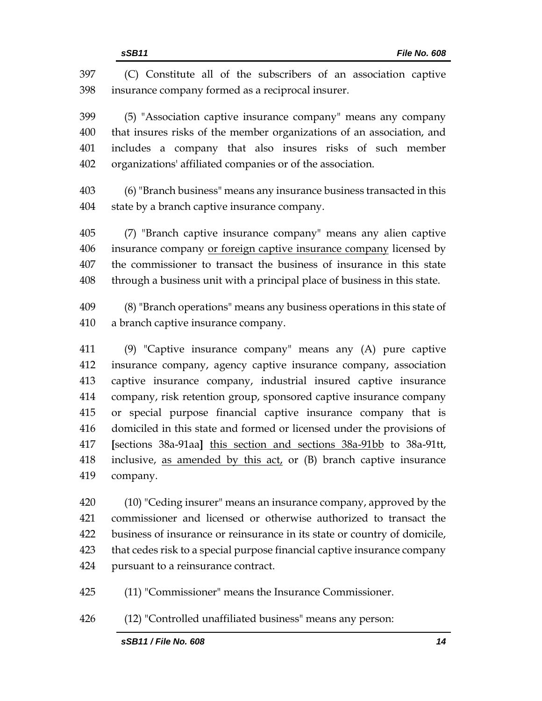(C) Constitute all of the subscribers of an association captive insurance company formed as a reciprocal insurer.

 (5) "Association captive insurance company" means any company that insures risks of the member organizations of an association, and includes a company that also insures risks of such member organizations' affiliated companies or of the association.

 (6) "Branch business" means any insurance business transacted in this state by a branch captive insurance company.

 (7) "Branch captive insurance company" means any alien captive insurance company or foreign captive insurance company licensed by the commissioner to transact the business of insurance in this state through a business unit with a principal place of business in this state.

 (8) "Branch operations" means any business operations in this state of a branch captive insurance company.

 (9) "Captive insurance company" means any (A) pure captive insurance company, agency captive insurance company, association captive insurance company, industrial insured captive insurance company, risk retention group, sponsored captive insurance company or special purpose financial captive insurance company that is domiciled in this state and formed or licensed under the provisions of **[**sections 38a-91aa**]** this section and sections 38a-91bb to 38a-91tt, 418 inclusive, as amended by this  $act<sub>t</sub>$  or (B) branch captive insurance company.

 (10) "Ceding insurer" means an insurance company, approved by the commissioner and licensed or otherwise authorized to transact the business of insurance or reinsurance in its state or country of domicile, that cedes risk to a special purpose financial captive insurance company pursuant to a reinsurance contract.

(11) "Commissioner" means the Insurance Commissioner.

(12) "Controlled unaffiliated business" means any person: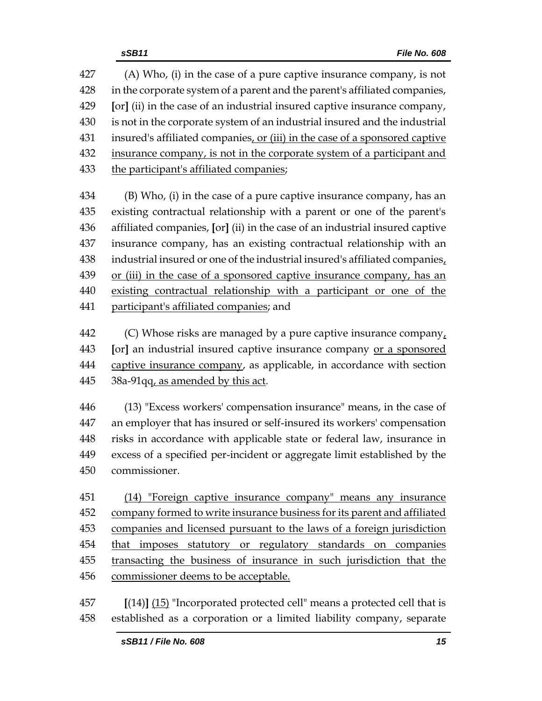(A) Who, (i) in the case of a pure captive insurance company, is not in the corporate system of a parent and the parent's affiliated companies, **[**or**]** (ii) in the case of an industrial insured captive insurance company, is not in the corporate system of an industrial insured and the industrial 431 insured's affiliated companies, or (iii) in the case of a sponsored captive 432 insurance company, is not in the corporate system of a participant and the participant's affiliated companies;

 (B) Who, (i) in the case of a pure captive insurance company, has an existing contractual relationship with a parent or one of the parent's affiliated companies, **[**or**]** (ii) in the case of an industrial insured captive insurance company, has an existing contractual relationship with an industrial insured or one of the industrial insured's affiliated companies, 439 or (iii) in the case of a sponsored captive insurance company, has an existing contractual relationship with a participant or one of the participant's affiliated companies; and

 (C) Whose risks are managed by a pure captive insurance company, **[**or**]** an industrial insured captive insurance company or a sponsored captive insurance company, as applicable, in accordance with section 38a-91qq, as amended by this act.

 (13) "Excess workers' compensation insurance" means, in the case of an employer that has insured or self-insured its workers' compensation risks in accordance with applicable state or federal law, insurance in excess of a specified per-incident or aggregate limit established by the commissioner.

 (14) "Foreign captive insurance company" means any insurance company formed to write insurance business for its parent and affiliated companies and licensed pursuant to the laws of a foreign jurisdiction that imposes statutory or regulatory standards on companies transacting the business of insurance in such jurisdiction that the commissioner deems to be acceptable.

 **[**(14)**]** (15) "Incorporated protected cell" means a protected cell that is established as a corporation or a limited liability company, separate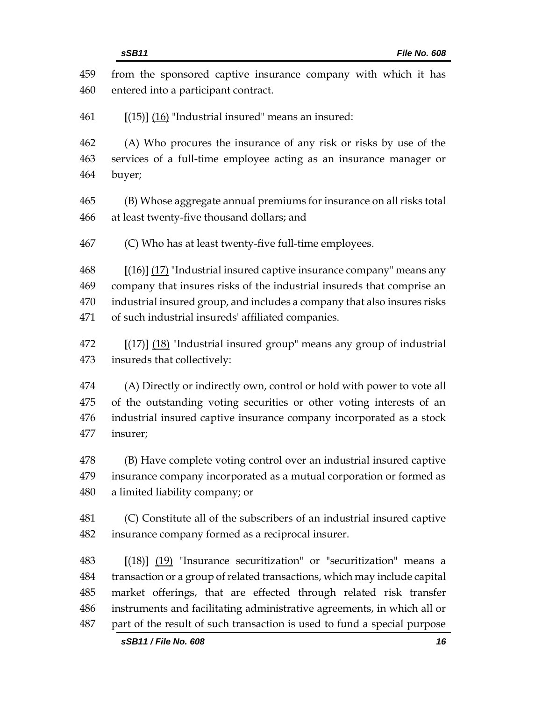from the sponsored captive insurance company with which it has entered into a participant contract. **[**(15)**]** (16) "Industrial insured" means an insured: (A) Who procures the insurance of any risk or risks by use of the services of a full-time employee acting as an insurance manager or buyer; (B) Whose aggregate annual premiums for insurance on all risks total at least twenty-five thousand dollars; and (C) Who has at least twenty-five full-time employees. **[**(16)**]** (17) "Industrial insured captive insurance company" means any company that insures risks of the industrial insureds that comprise an industrial insured group, and includes a company that also insures risks of such industrial insureds' affiliated companies. **[**(17)**]** (18) "Industrial insured group" means any group of industrial insureds that collectively: (A) Directly or indirectly own, control or hold with power to vote all of the outstanding voting securities or other voting interests of an industrial insured captive insurance company incorporated as a stock insurer; (B) Have complete voting control over an industrial insured captive insurance company incorporated as a mutual corporation or formed as a limited liability company; or (C) Constitute all of the subscribers of an industrial insured captive insurance company formed as a reciprocal insurer. **[**(18)**]** (19) "Insurance securitization" or "securitization" means a transaction or a group of related transactions, which may include capital market offerings, that are effected through related risk transfer instruments and facilitating administrative agreements, in which all or part of the result of such transaction is used to fund a special purpose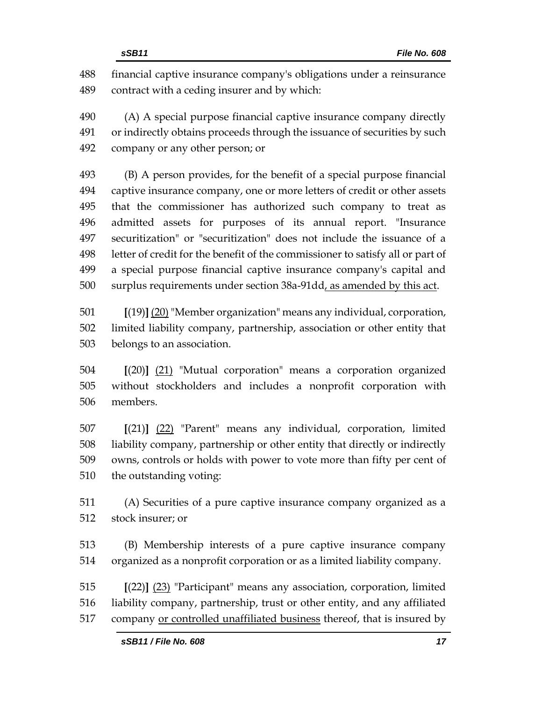financial captive insurance company's obligations under a reinsurance contract with a ceding insurer and by which:

 (A) A special purpose financial captive insurance company directly or indirectly obtains proceeds through the issuance of securities by such company or any other person; or

 (B) A person provides, for the benefit of a special purpose financial captive insurance company, one or more letters of credit or other assets that the commissioner has authorized such company to treat as admitted assets for purposes of its annual report. "Insurance securitization" or "securitization" does not include the issuance of a letter of credit for the benefit of the commissioner to satisfy all or part of a special purpose financial captive insurance company's capital and surplus requirements under section 38a-91dd, as amended by this act.

 **[**(19)**]** (20) "Member organization" means any individual, corporation, limited liability company, partnership, association or other entity that belongs to an association.

 **[**(20)**]** (21) "Mutual corporation" means a corporation organized without stockholders and includes a nonprofit corporation with members.

 **[**(21)**]** (22) "Parent" means any individual, corporation, limited liability company, partnership or other entity that directly or indirectly owns, controls or holds with power to vote more than fifty per cent of the outstanding voting:

 (A) Securities of a pure captive insurance company organized as a stock insurer; or

 (B) Membership interests of a pure captive insurance company organized as a nonprofit corporation or as a limited liability company.

 **[**(22)**]** (23) "Participant" means any association, corporation, limited liability company, partnership, trust or other entity, and any affiliated company or controlled unaffiliated business thereof, that is insured by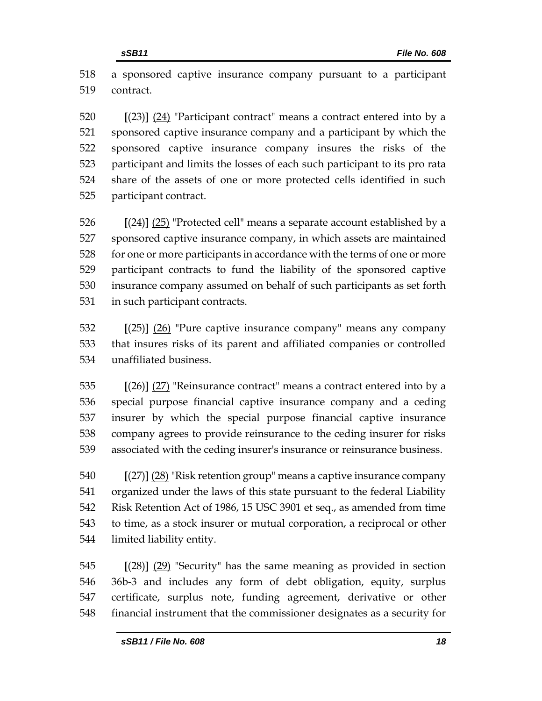a sponsored captive insurance company pursuant to a participant contract.

 **[**(23)**]** (24) "Participant contract" means a contract entered into by a sponsored captive insurance company and a participant by which the sponsored captive insurance company insures the risks of the participant and limits the losses of each such participant to its pro rata share of the assets of one or more protected cells identified in such participant contract.

 **[**(24)**]** (25) "Protected cell" means a separate account established by a sponsored captive insurance company, in which assets are maintained for one or more participants in accordance with the terms of one or more participant contracts to fund the liability of the sponsored captive insurance company assumed on behalf of such participants as set forth in such participant contracts.

 **[**(25)**]** (26) "Pure captive insurance company" means any company that insures risks of its parent and affiliated companies or controlled unaffiliated business.

 **[**(26)**]** (27) "Reinsurance contract" means a contract entered into by a special purpose financial captive insurance company and a ceding insurer by which the special purpose financial captive insurance company agrees to provide reinsurance to the ceding insurer for risks associated with the ceding insurer's insurance or reinsurance business.

 **[**(27)**]** (28) "Risk retention group" means a captive insurance company organized under the laws of this state pursuant to the federal Liability Risk Retention Act of 1986, 15 USC 3901 et seq., as amended from time to time, as a stock insurer or mutual corporation, a reciprocal or other limited liability entity.

 **[**(28)**]** (29) "Security" has the same meaning as provided in section 36b-3 and includes any form of debt obligation, equity, surplus certificate, surplus note, funding agreement, derivative or other financial instrument that the commissioner designates as a security for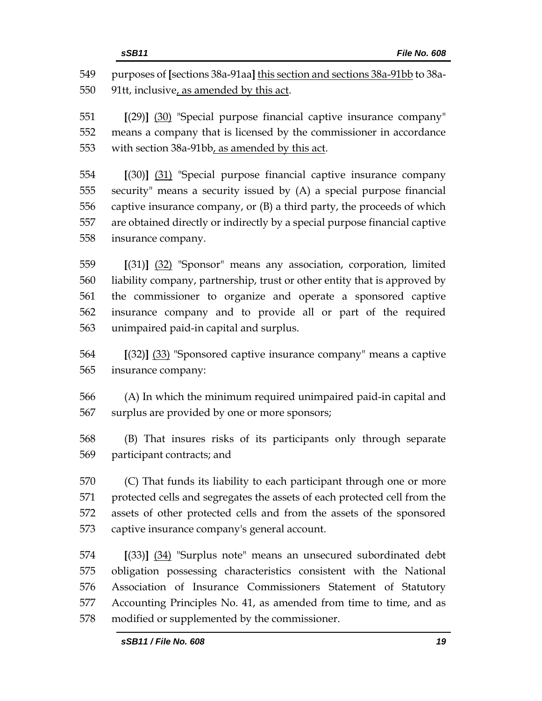purposes of **[**sections 38a-91aa**]** this section and sections 38a-91bb to 38a- 91tt, inclusive, as amended by this act. **[**(29)**]** (30) "Special purpose financial captive insurance company" means a company that is licensed by the commissioner in accordance with section 38a-91bb, as amended by this act. **[**(30)**]** (31) "Special purpose financial captive insurance company security" means a security issued by (A) a special purpose financial captive insurance company, or (B) a third party, the proceeds of which are obtained directly or indirectly by a special purpose financial captive insurance company. **[**(31)**]** (32) "Sponsor" means any association, corporation, limited liability company, partnership, trust or other entity that is approved by the commissioner to organize and operate a sponsored captive insurance company and to provide all or part of the required unimpaired paid-in capital and surplus. **[**(32)**]** (33) "Sponsored captive insurance company" means a captive insurance company: (A) In which the minimum required unimpaired paid-in capital and surplus are provided by one or more sponsors; (B) That insures risks of its participants only through separate participant contracts; and (C) That funds its liability to each participant through one or more protected cells and segregates the assets of each protected cell from the assets of other protected cells and from the assets of the sponsored captive insurance company's general account. **[**(33)**]** (34) "Surplus note" means an unsecured subordinated debt obligation possessing characteristics consistent with the National Association of Insurance Commissioners Statement of Statutory Accounting Principles No. 41, as amended from time to time, and as

modified or supplemented by the commissioner.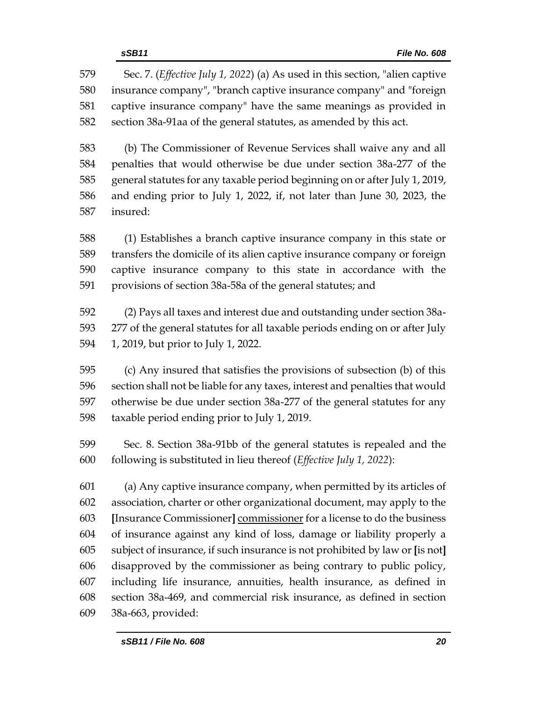Sec. 7. (*Effective July 1, 2022*) (a) As used in this section, "alien captive insurance company", "branch captive insurance company" and "foreign captive insurance company" have the same meanings as provided in section 38a-91aa of the general statutes, as amended by this act.

 (b) The Commissioner of Revenue Services shall waive any and all penalties that would otherwise be due under section 38a-277 of the general statutes for any taxable period beginning on or after July 1, 2019, and ending prior to July 1, 2022, if, not later than June 30, 2023, the insured:

 (1) Establishes a branch captive insurance company in this state or transfers the domicile of its alien captive insurance company or foreign captive insurance company to this state in accordance with the provisions of section 38a-58a of the general statutes; and

 (2) Pays all taxes and interest due and outstanding under section 38a- 277 of the general statutes for all taxable periods ending on or after July 1, 2019, but prior to July 1, 2022.

 (c) Any insured that satisfies the provisions of subsection (b) of this section shall not be liable for any taxes, interest and penalties that would otherwise be due under section 38a-277 of the general statutes for any taxable period ending prior to July 1, 2019.

 Sec. 8. Section 38a-91bb of the general statutes is repealed and the following is substituted in lieu thereof (*Effective July 1, 2022*):

 (a) Any captive insurance company, when permitted by its articles of association, charter or other organizational document, may apply to the **[**Insurance Commissioner**]** commissioner for a license to do the business of insurance against any kind of loss, damage or liability properly a subject of insurance, if such insurance is not prohibited by law or **[**is not**]** disapproved by the commissioner as being contrary to public policy, including life insurance, annuities, health insurance, as defined in section 38a-469, and commercial risk insurance, as defined in section 38a-663, provided: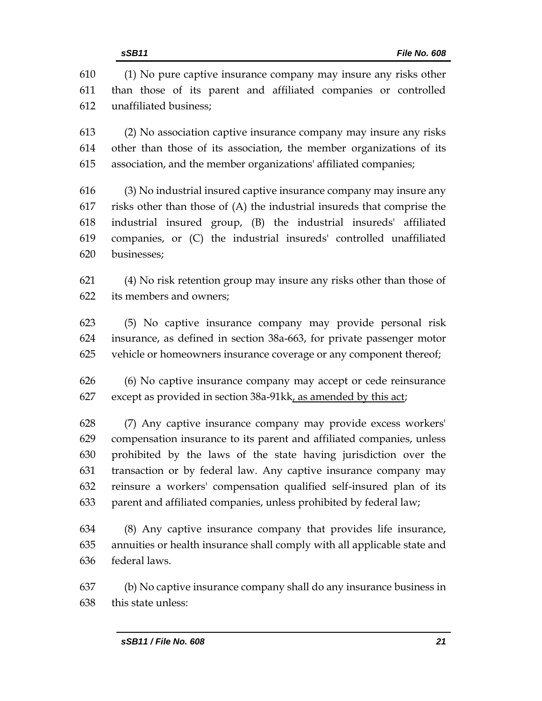(1) No pure captive insurance company may insure any risks other than those of its parent and affiliated companies or controlled unaffiliated business;

 (2) No association captive insurance company may insure any risks other than those of its association, the member organizations of its association, and the member organizations' affiliated companies;

 (3) No industrial insured captive insurance company may insure any risks other than those of (A) the industrial insureds that comprise the industrial insured group, (B) the industrial insureds' affiliated companies, or (C) the industrial insureds' controlled unaffiliated businesses;

 (4) No risk retention group may insure any risks other than those of its members and owners;

 (5) No captive insurance company may provide personal risk insurance, as defined in section 38a-663, for private passenger motor vehicle or homeowners insurance coverage or any component thereof;

 (6) No captive insurance company may accept or cede reinsurance except as provided in section 38a-91kk, as amended by this act;

 (7) Any captive insurance company may provide excess workers' compensation insurance to its parent and affiliated companies, unless prohibited by the laws of the state having jurisdiction over the transaction or by federal law. Any captive insurance company may reinsure a workers' compensation qualified self-insured plan of its parent and affiliated companies, unless prohibited by federal law;

 (8) Any captive insurance company that provides life insurance, annuities or health insurance shall comply with all applicable state and federal laws.

 (b) No captive insurance company shall do any insurance business in this state unless: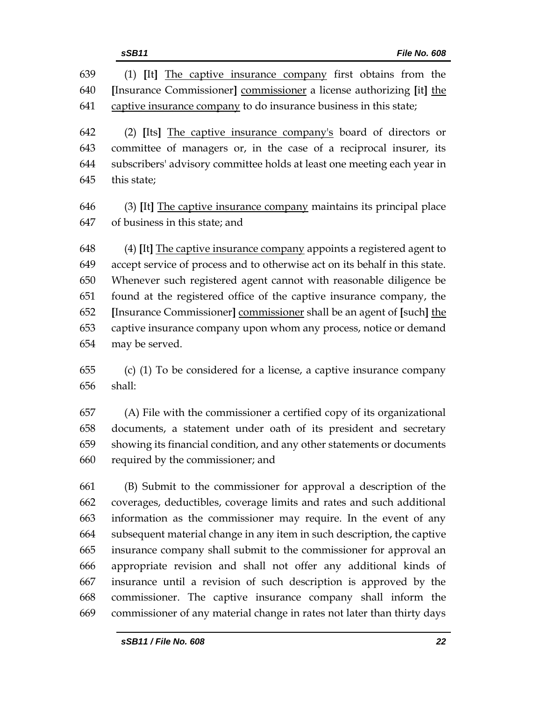(1) **[**It**]** The captive insurance company first obtains from the **[**Insurance Commissioner**]** commissioner a license authorizing **[**it**]** the captive insurance company to do insurance business in this state; (2) **[**Its**]** The captive insurance company's board of directors or committee of managers or, in the case of a reciprocal insurer, its subscribers' advisory committee holds at least one meeting each year in this state; (3) **[**It**]** The captive insurance company maintains its principal place of business in this state; and (4) **[**It**]** The captive insurance company appoints a registered agent to accept service of process and to otherwise act on its behalf in this state. Whenever such registered agent cannot with reasonable diligence be found at the registered office of the captive insurance company, the **[**Insurance Commissioner**]** commissioner shall be an agent of **[**such**]** the captive insurance company upon whom any process, notice or demand may be served.

 (c) (1) To be considered for a license, a captive insurance company shall:

 (A) File with the commissioner a certified copy of its organizational documents, a statement under oath of its president and secretary showing its financial condition, and any other statements or documents required by the commissioner; and

 (B) Submit to the commissioner for approval a description of the coverages, deductibles, coverage limits and rates and such additional information as the commissioner may require. In the event of any subsequent material change in any item in such description, the captive insurance company shall submit to the commissioner for approval an appropriate revision and shall not offer any additional kinds of insurance until a revision of such description is approved by the commissioner. The captive insurance company shall inform the commissioner of any material change in rates not later than thirty days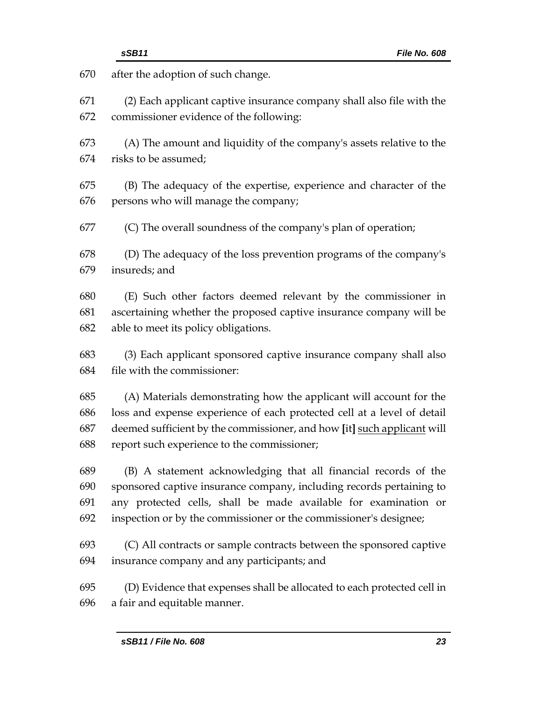| 670 | after the adoption of such change.                                      |
|-----|-------------------------------------------------------------------------|
| 671 | (2) Each applicant captive insurance company shall also file with the   |
| 672 | commissioner evidence of the following:                                 |
| 673 | (A) The amount and liquidity of the company's assets relative to the    |
| 674 | risks to be assumed;                                                    |
| 675 | (B) The adequacy of the expertise, experience and character of the      |
| 676 | persons who will manage the company;                                    |
| 677 | (C) The overall soundness of the company's plan of operation;           |
| 678 | (D) The adequacy of the loss prevention programs of the company's       |
| 679 | insureds; and                                                           |
| 680 | (E) Such other factors deemed relevant by the commissioner in           |
| 681 | ascertaining whether the proposed captive insurance company will be     |
| 682 | able to meet its policy obligations.                                    |
| 683 | (3) Each applicant sponsored captive insurance company shall also       |
| 684 | file with the commissioner:                                             |
| 685 | (A) Materials demonstrating how the applicant will account for the      |
| 686 | loss and expense experience of each protected cell at a level of detail |
| 687 | deemed sufficient by the commissioner, and how [it] such applicant will |
| 688 | report such experience to the commissioner;                             |
| 689 | (B) A statement acknowledging that all financial records of the         |
| 690 | sponsored captive insurance company, including records pertaining to    |
| 691 | any protected cells, shall be made available for examination or         |
| 692 | inspection or by the commissioner or the commissioner's designee;       |
| 693 | (C) All contracts or sample contracts between the sponsored captive     |
| 694 | insurance company and any participants; and                             |
| 695 | (D) Evidence that expenses shall be allocated to each protected cell in |
| 696 | a fair and equitable manner.                                            |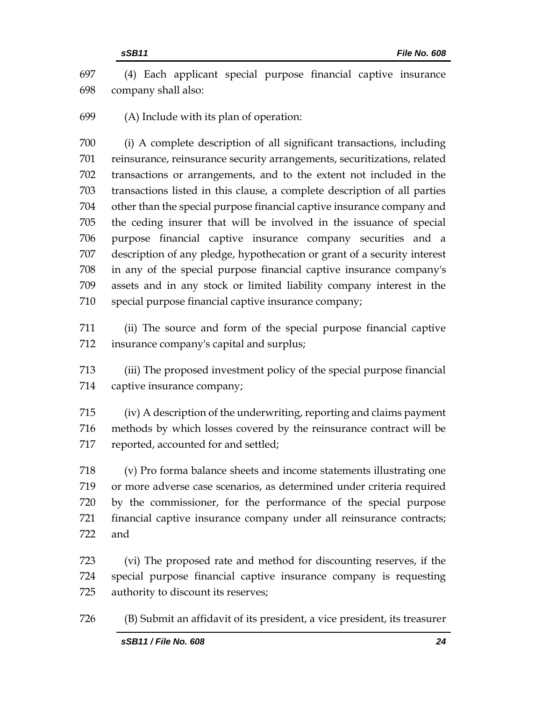(4) Each applicant special purpose financial captive insurance company shall also:

(A) Include with its plan of operation:

 (i) A complete description of all significant transactions, including reinsurance, reinsurance security arrangements, securitizations, related transactions or arrangements, and to the extent not included in the transactions listed in this clause, a complete description of all parties other than the special purpose financial captive insurance company and the ceding insurer that will be involved in the issuance of special purpose financial captive insurance company securities and a description of any pledge, hypothecation or grant of a security interest in any of the special purpose financial captive insurance company's assets and in any stock or limited liability company interest in the special purpose financial captive insurance company;

 (ii) The source and form of the special purpose financial captive insurance company's capital and surplus;

 (iii) The proposed investment policy of the special purpose financial captive insurance company;

 (iv) A description of the underwriting, reporting and claims payment methods by which losses covered by the reinsurance contract will be reported, accounted for and settled;

 (v) Pro forma balance sheets and income statements illustrating one or more adverse case scenarios, as determined under criteria required by the commissioner, for the performance of the special purpose financial captive insurance company under all reinsurance contracts; and

 (vi) The proposed rate and method for discounting reserves, if the special purpose financial captive insurance company is requesting authority to discount its reserves;

(B) Submit an affidavit of its president, a vice president, its treasurer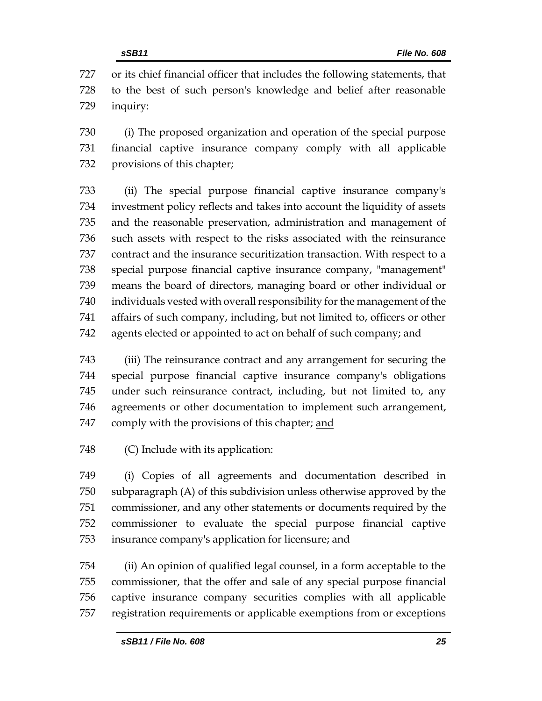or its chief financial officer that includes the following statements, that to the best of such person's knowledge and belief after reasonable inquiry:

 (i) The proposed organization and operation of the special purpose financial captive insurance company comply with all applicable provisions of this chapter;

 (ii) The special purpose financial captive insurance company's investment policy reflects and takes into account the liquidity of assets and the reasonable preservation, administration and management of such assets with respect to the risks associated with the reinsurance contract and the insurance securitization transaction. With respect to a special purpose financial captive insurance company, "management" means the board of directors, managing board or other individual or individuals vested with overall responsibility for the management of the affairs of such company, including, but not limited to, officers or other agents elected or appointed to act on behalf of such company; and

 (iii) The reinsurance contract and any arrangement for securing the special purpose financial captive insurance company's obligations under such reinsurance contract, including, but not limited to, any agreements or other documentation to implement such arrangement, 747 comply with the provisions of this chapter; and

(C) Include with its application:

 (i) Copies of all agreements and documentation described in subparagraph (A) of this subdivision unless otherwise approved by the commissioner, and any other statements or documents required by the commissioner to evaluate the special purpose financial captive insurance company's application for licensure; and

 (ii) An opinion of qualified legal counsel, in a form acceptable to the commissioner, that the offer and sale of any special purpose financial captive insurance company securities complies with all applicable registration requirements or applicable exemptions from or exceptions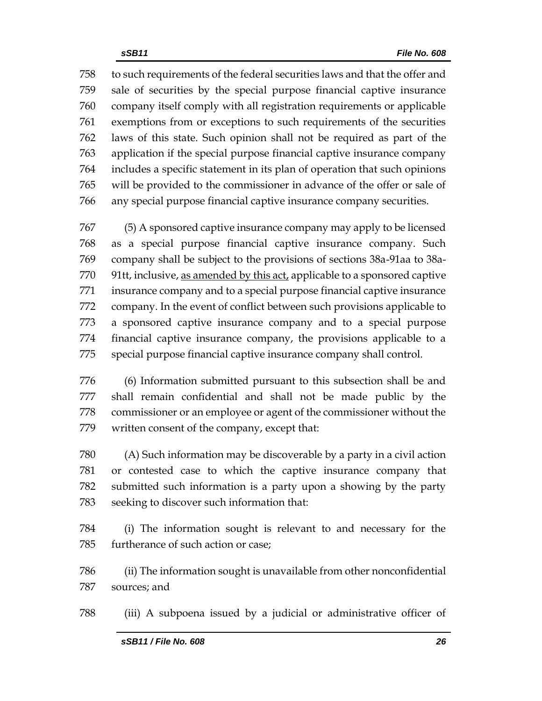to such requirements of the federal securities laws and that the offer and sale of securities by the special purpose financial captive insurance company itself comply with all registration requirements or applicable exemptions from or exceptions to such requirements of the securities laws of this state. Such opinion shall not be required as part of the application if the special purpose financial captive insurance company includes a specific statement in its plan of operation that such opinions will be provided to the commissioner in advance of the offer or sale of any special purpose financial captive insurance company securities.

 (5) A sponsored captive insurance company may apply to be licensed as a special purpose financial captive insurance company. Such company shall be subject to the provisions of sections 38a-91aa to 38a-770 91tt, inclusive, as amended by this act, applicable to a sponsored captive insurance company and to a special purpose financial captive insurance company. In the event of conflict between such provisions applicable to a sponsored captive insurance company and to a special purpose financial captive insurance company, the provisions applicable to a special purpose financial captive insurance company shall control.

 (6) Information submitted pursuant to this subsection shall be and shall remain confidential and shall not be made public by the commissioner or an employee or agent of the commissioner without the written consent of the company, except that:

 (A) Such information may be discoverable by a party in a civil action or contested case to which the captive insurance company that submitted such information is a party upon a showing by the party seeking to discover such information that:

 (i) The information sought is relevant to and necessary for the furtherance of such action or case;

 (ii) The information sought is unavailable from other nonconfidential sources; and

(iii) A subpoena issued by a judicial or administrative officer of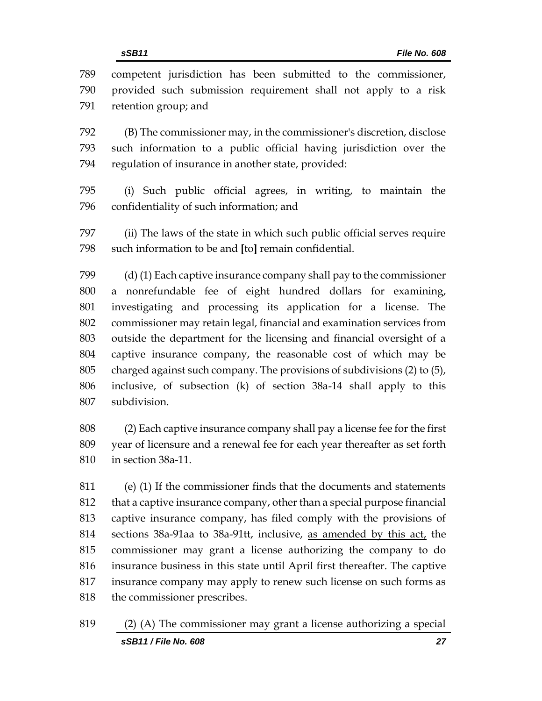competent jurisdiction has been submitted to the commissioner, provided such submission requirement shall not apply to a risk retention group; and (B) The commissioner may, in the commissioner's discretion, disclose such information to a public official having jurisdiction over the regulation of insurance in another state, provided: (i) Such public official agrees, in writing, to maintain the confidentiality of such information; and (ii) The laws of the state in which such public official serves require such information to be and **[**to**]** remain confidential. (d) (1) Each captive insurance company shall pay to the commissioner a nonrefundable fee of eight hundred dollars for examining, investigating and processing its application for a license. The commissioner may retain legal, financial and examination services from outside the department for the licensing and financial oversight of a captive insurance company, the reasonable cost of which may be charged against such company. The provisions of subdivisions (2) to (5),

 inclusive, of subsection (k) of section 38a-14 shall apply to this subdivision.

 (2) Each captive insurance company shall pay a license fee for the first year of licensure and a renewal fee for each year thereafter as set forth in section 38a-11.

 (e) (1) If the commissioner finds that the documents and statements that a captive insurance company, other than a special purpose financial captive insurance company, has filed comply with the provisions of sections 38a-91aa to 38a-91tt, inclusive, as amended by this act, the commissioner may grant a license authorizing the company to do insurance business in this state until April first thereafter. The captive insurance company may apply to renew such license on such forms as 818 the commissioner prescribes.

*sSB11 / File No. 608 27* (2) (A) The commissioner may grant a license authorizing a special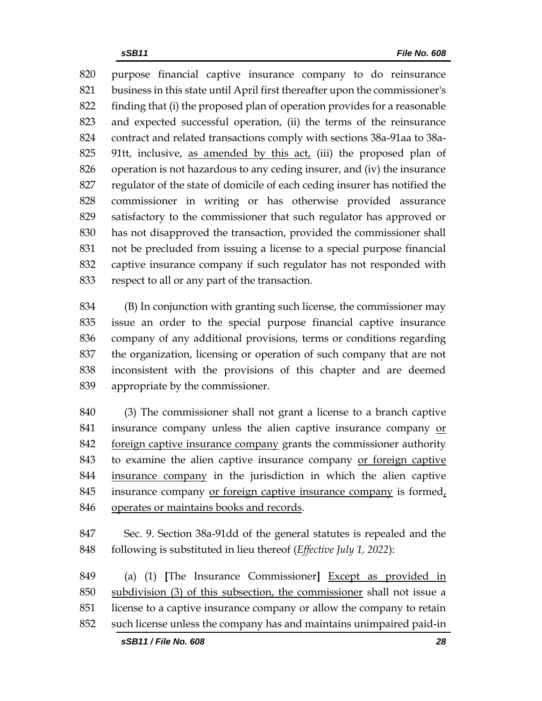purpose financial captive insurance company to do reinsurance business in this state until April first thereafter upon the commissioner's finding that (i) the proposed plan of operation provides for a reasonable and expected successful operation, (ii) the terms of the reinsurance contract and related transactions comply with sections 38a-91aa to 38a- 91tt, inclusive, as amended by this act, (iii) the proposed plan of operation is not hazardous to any ceding insurer, and (iv) the insurance regulator of the state of domicile of each ceding insurer has notified the commissioner in writing or has otherwise provided assurance satisfactory to the commissioner that such regulator has approved or has not disapproved the transaction, provided the commissioner shall not be precluded from issuing a license to a special purpose financial captive insurance company if such regulator has not responded with respect to all or any part of the transaction.

 (B) In conjunction with granting such license, the commissioner may issue an order to the special purpose financial captive insurance company of any additional provisions, terms or conditions regarding the organization, licensing or operation of such company that are not inconsistent with the provisions of this chapter and are deemed appropriate by the commissioner.

 (3) The commissioner shall not grant a license to a branch captive insurance company unless the alien captive insurance company or foreign captive insurance company grants the commissioner authority 843 to examine the alien captive insurance company or foreign captive 844 insurance company in the jurisdiction in which the alien captive insurance company or foreign captive insurance company is formed, operates or maintains books and records.

 Sec. 9. Section 38a-91dd of the general statutes is repealed and the following is substituted in lieu thereof (*Effective July 1, 2022*):

 (a) (1) **[**The Insurance Commissioner**]** Except as provided in subdivision (3) of this subsection, the commissioner shall not issue a license to a captive insurance company or allow the company to retain such license unless the company has and maintains unimpaired paid-in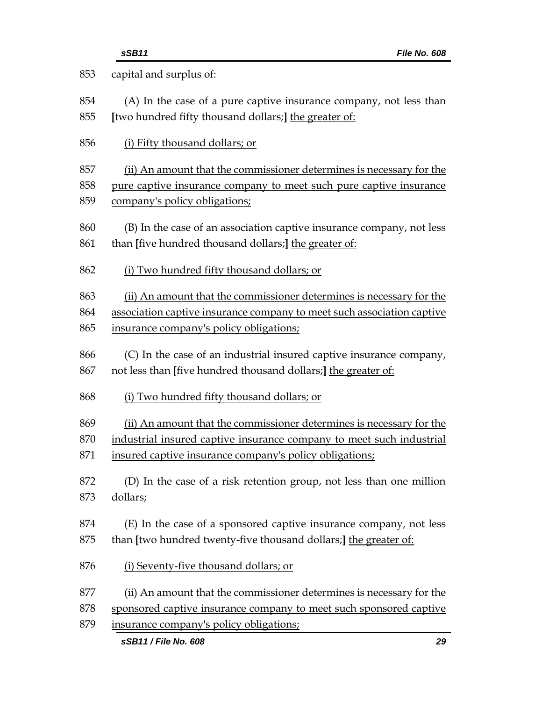|     | sSB11<br><b>File No. 608</b>                                           |
|-----|------------------------------------------------------------------------|
| 853 | capital and surplus of:                                                |
| 854 | (A) In the case of a pure captive insurance company, not less than     |
| 855 | [two hundred fifty thousand dollars;] the greater of:                  |
| 856 | (i) Fifty thousand dollars; or                                         |
| 857 | (ii) An amount that the commissioner determines is necessary for the   |
| 858 | pure captive insurance company to meet such pure captive insurance     |
| 859 | company's policy obligations;                                          |
| 860 | (B) In the case of an association captive insurance company, not less  |
| 861 | than I five hundred thousand dollars; the greater of:                  |
| 862 | (i) Two hundred fifty thousand dollars; or                             |
| 863 | (ii) An amount that the commissioner determines is necessary for the   |
| 864 | association captive insurance company to meet such association captive |
| 865 | insurance company's policy obligations;                                |
| 866 | (C) In the case of an industrial insured captive insurance company,    |
| 867 | not less than [five hundred thousand dollars;] the greater of:         |
| 868 | (i) Two hundred fifty thousand dollars; or                             |
| 869 | (ii) An amount that the commissioner determines is necessary for the   |
| 870 | industrial insured captive insurance company to meet such industrial   |
| 871 | insured captive insurance company's policy obligations;                |
| 872 | (D) In the case of a risk retention group, not less than one million   |
| 873 | dollars;                                                               |
| 874 | (E) In the case of a sponsored captive insurance company, not less     |
| 875 | than [two hundred twenty-five thousand dollars;] the greater of:       |
| 876 | (i) Seventy-five thousand dollars; or                                  |
| 877 | (ii) An amount that the commissioner determines is necessary for the   |
| 878 | sponsored captive insurance company to meet such sponsored captive     |
| 879 | insurance company's policy obligations;                                |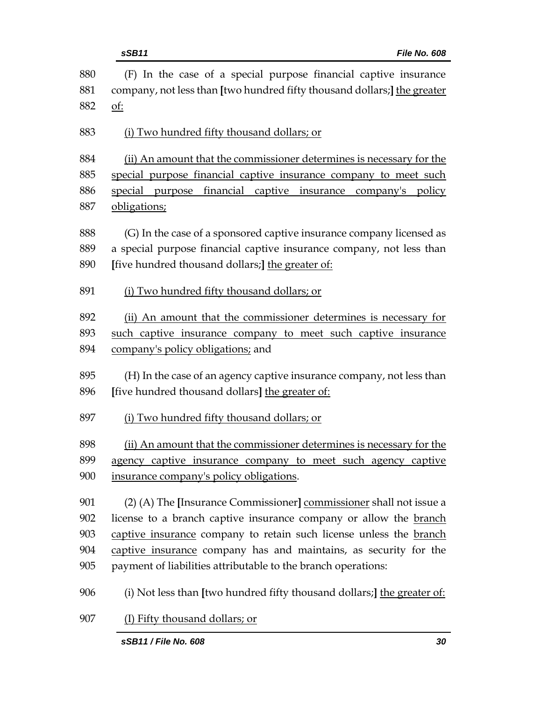| 880 | (F) In the case of a special purpose financial captive insurance           |
|-----|----------------------------------------------------------------------------|
| 881 | company, not less than [two hundred fifty thousand dollars;] the greater   |
| 882 | <u>of:</u>                                                                 |
| 883 | (i) Two hundred fifty thousand dollars; or                                 |
| 884 | (ii) An amount that the commissioner determines is necessary for the       |
| 885 | special purpose financial captive insurance company to meet such           |
| 886 | special purpose financial captive insurance company's policy               |
| 887 | obligations;                                                               |
| 888 | (G) In the case of a sponsored captive insurance company licensed as       |
| 889 | a special purpose financial captive insurance company, not less than       |
| 890 | [five hundred thousand dollars;] the greater of:                           |
| 891 | (i) Two hundred fifty thousand dollars; or                                 |
| 892 | (ii) An amount that the commissioner determines is necessary for           |
| 893 | such captive insurance company to meet such captive insurance              |
| 894 | company's policy obligations; and                                          |
| 895 | (H) In the case of an agency captive insurance company, not less than      |
| 896 | [five hundred thousand dollars] the greater of:                            |
| 897 | (i) Two hundred fifty thousand dollars; or                                 |
| 898 | (ii) An amount that the commissioner determines is necessary for the       |
| 899 | agency captive insurance company to meet such agency captive               |
| 900 | insurance company's policy obligations.                                    |
| 901 | (2) (A) The <i>[Insurance Commissioner] commissioner shall not issue a</i> |
| 902 | license to a branch captive insurance company or allow the branch          |
| 903 | captive insurance company to retain such license unless the branch         |
| 904 | captive insurance company has and maintains, as security for the           |
| 905 | payment of liabilities attributable to the branch operations:              |
| 906 | (i) Not less than [two hundred fifty thousand dollars;] the greater of:    |
| 907 | (I) Fifty thousand dollars; or                                             |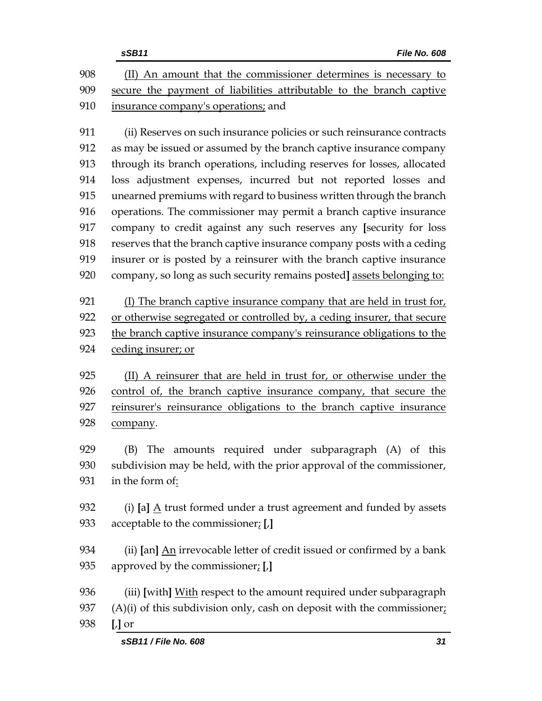| sSB11                                                                            | File No. 608 |
|----------------------------------------------------------------------------------|--------------|
| 908<br>(II) An amount that the commissioner determines is necessary to           |              |
| 909<br>secure the payment of liabilities attributable to the branch captive      |              |
| 910<br>insurance company's operations; and                                       |              |
| (ii) Reserves on such insurance policies or such reinsurance contracts<br>911    |              |
| as may be issued or assumed by the branch captive insurance company<br>912       |              |
| through its branch operations, including reserves for losses, allocated<br>913   |              |
| loss adjustment expenses, incurred but not reported losses and<br>914            |              |
| unearned premiums with regard to business written through the branch<br>915      |              |
| operations. The commissioner may permit a branch captive insurance<br>916        |              |
| company to credit against any such reserves any [security for loss<br>917        |              |
| reserves that the branch captive insurance company posts with a ceding<br>918    |              |
| 919<br>insurer or is posted by a reinsurer with the branch captive insurance     |              |
| company, so long as such security remains posted] assets belonging to:<br>920    |              |
| (I) The branch captive insurance company that are held in trust for,<br>921      |              |
| or otherwise segregated or controlled by, a ceding insurer, that secure<br>922   |              |
| the branch captive insurance company's reinsurance obligations to the<br>923     |              |
| 924<br>ceding insurer; or                                                        |              |
| (II) A reinsurer that are held in trust for, or otherwise under the<br>925       |              |
| 926<br>control of, the branch captive insurance company, that secure the         |              |
| reinsurer's reinsurance obligations to the branch captive insurance<br>927       |              |
| 928<br>company.                                                                  |              |
| 929<br>(B) The amounts required under subparagraph (A) of this                   |              |
| subdivision may be held, with the prior approval of the commissioner,<br>930     |              |
| in the form of:<br>931                                                           |              |
| 932<br>(i) [a] A trust formed under a trust agreement and funded by assets       |              |
| 933<br>acceptable to the commissioner: $[J]$                                     |              |
| 934<br>(ii) [an] An irrevocable letter of credit issued or confirmed by a bank   |              |
| 935<br>approved by the commissioner: $[J]$                                       |              |
| 936<br>(iii) [with] With respect to the amount required under subparagraph       |              |
| $(A)(i)$ of this subdivision only, cash on deposit with the commissioner;<br>937 |              |
| 938<br>$\left[\right]$ or                                                        |              |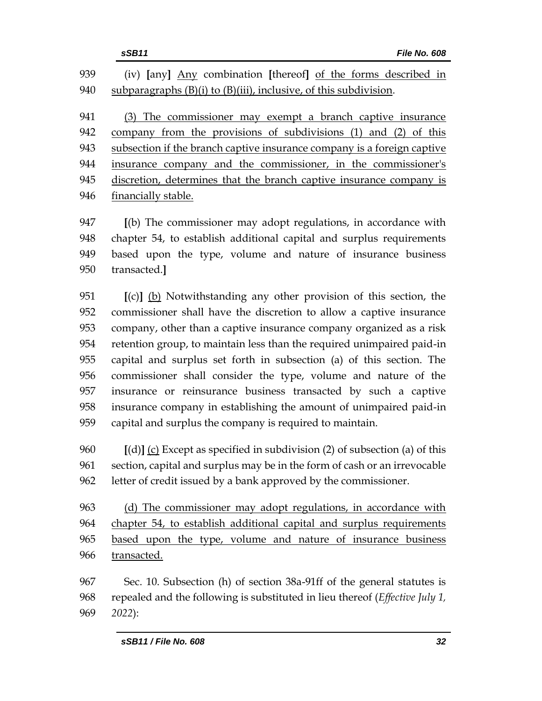| 939 | (iv) [any] Any combination [thereof] of the forms described in          |
|-----|-------------------------------------------------------------------------|
| 940 | subparagraphs $(B)(i)$ to $(B)(iii)$ , inclusive, of this subdivision.  |
| 941 | (3) The commissioner may exempt a branch captive insurance              |
| 942 | company from the provisions of subdivisions (1) and (2) of this         |
| 943 | subsection if the branch captive insurance company is a foreign captive |
| 944 | insurance company and the commissioner, in the commissioner's           |
| 945 | discretion, determines that the branch captive insurance company is     |
| 946 | financially stable.                                                     |

 **[**(b) The commissioner may adopt regulations, in accordance with chapter 54, to establish additional capital and surplus requirements based upon the type, volume and nature of insurance business transacted.**]**

 **[**(c)**]** (b) Notwithstanding any other provision of this section, the commissioner shall have the discretion to allow a captive insurance company, other than a captive insurance company organized as a risk retention group, to maintain less than the required unimpaired paid-in capital and surplus set forth in subsection (a) of this section. The commissioner shall consider the type, volume and nature of the insurance or reinsurance business transacted by such a captive insurance company in establishing the amount of unimpaired paid-in capital and surplus the company is required to maintain.

 **[**(d)**]** (c) Except as specified in subdivision (2) of subsection (a) of this section, capital and surplus may be in the form of cash or an irrevocable letter of credit issued by a bank approved by the commissioner.

963 (d) The commissioner may adopt regulations, in accordance with 964 chapter 54, to establish additional capital and surplus requirements 965 based upon the type, volume and nature of insurance business transacted.

 Sec. 10. Subsection (h) of section 38a-91ff of the general statutes is repealed and the following is substituted in lieu thereof (*Effective July 1, 2022*):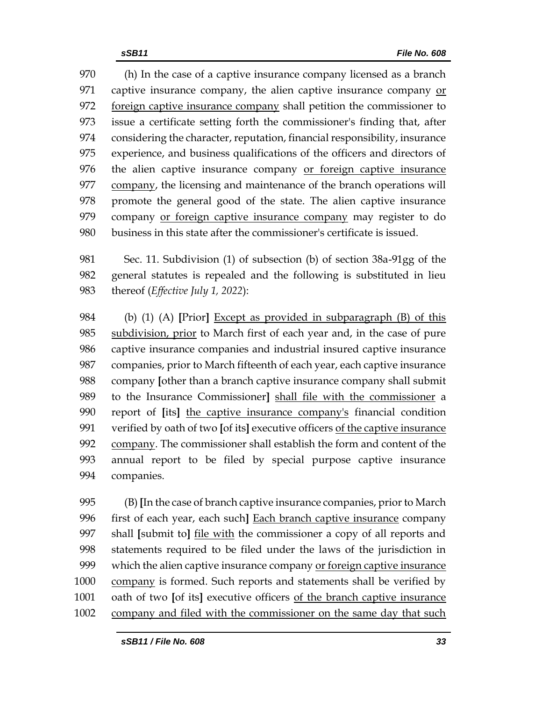(h) In the case of a captive insurance company licensed as a branch captive insurance company, the alien captive insurance company or foreign captive insurance company shall petition the commissioner to issue a certificate setting forth the commissioner's finding that, after considering the character, reputation, financial responsibility, insurance experience, and business qualifications of the officers and directors of 976 the alien captive insurance company or foreign captive insurance company, the licensing and maintenance of the branch operations will promote the general good of the state. The alien captive insurance company or foreign captive insurance company may register to do business in this state after the commissioner's certificate is issued.

 Sec. 11. Subdivision (1) of subsection (b) of section 38a-91gg of the general statutes is repealed and the following is substituted in lieu thereof (*Effective July 1, 2022*):

 (b) (1) (A) **[**Prior**]** Except as provided in subparagraph (B) of this subdivision, prior to March first of each year and, in the case of pure captive insurance companies and industrial insured captive insurance companies, prior to March fifteenth of each year, each captive insurance company **[**other than a branch captive insurance company shall submit to the Insurance Commissioner**]** shall file with the commissioner a report of **[**its**]** the captive insurance company's financial condition verified by oath of two **[**of its**]** executive officers of the captive insurance company. The commissioner shall establish the form and content of the annual report to be filed by special purpose captive insurance companies.

 (B) **[**In the case of branch captive insurance companies, prior to March first of each year, each such**]** Each branch captive insurance company shall **[**submit to**]** file with the commissioner a copy of all reports and statements required to be filed under the laws of the jurisdiction in which the alien captive insurance company or foreign captive insurance company is formed. Such reports and statements shall be verified by oath of two **[**of its**]** executive officers of the branch captive insurance company and filed with the commissioner on the same day that such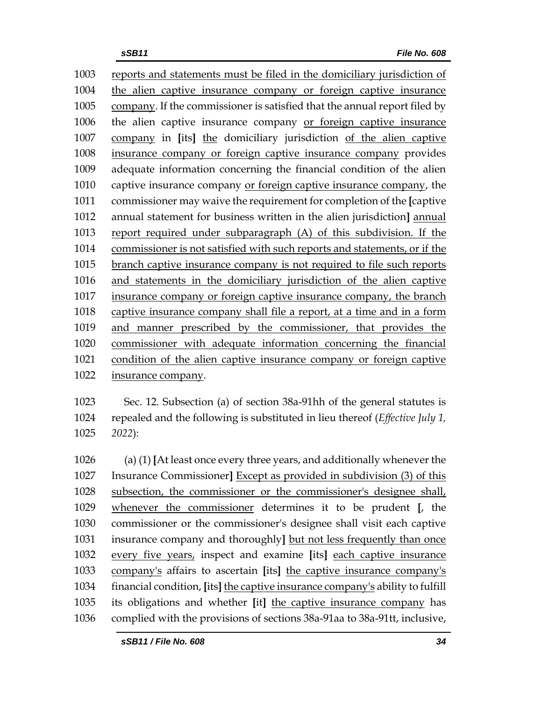reports and statements must be filed in the domiciliary jurisdiction of the alien captive insurance company or foreign captive insurance company. If the commissioner is satisfied that the annual report filed by the alien captive insurance company or foreign captive insurance company in **[**its**]** the domiciliary jurisdiction of the alien captive insurance company or foreign captive insurance company provides adequate information concerning the financial condition of the alien captive insurance company or foreign captive insurance company, the commissioner may waive the requirement for completion of the **[**captive annual statement for business written in the alien jurisdiction**]** annual report required under subparagraph (A) of this subdivision. If the commissioner is not satisfied with such reports and statements, or if the branch captive insurance company is not required to file such reports and statements in the domiciliary jurisdiction of the alien captive insurance company or foreign captive insurance company, the branch captive insurance company shall file a report, at a time and in a form and manner prescribed by the commissioner, that provides the commissioner with adequate information concerning the financial condition of the alien captive insurance company or foreign captive insurance company.

 Sec. 12. Subsection (a) of section 38a-91hh of the general statutes is repealed and the following is substituted in lieu thereof (*Effective July 1, 2022*):

 (a) (1) **[**At least once every three years, and additionally whenever the Insurance Commissioner**]** Except as provided in subdivision (3) of this subsection, the commissioner or the commissioner's designee shall, whenever the commissioner determines it to be prudent **[**, the commissioner or the commissioner's designee shall visit each captive insurance company and thoroughly**]** but not less frequently than once every five years, inspect and examine **[**its**]** each captive insurance company's affairs to ascertain **[**its**]** the captive insurance company's financial condition, **[**its**]** the captive insurance company's ability to fulfill its obligations and whether **[**it**]** the captive insurance company has complied with the provisions of sections 38a-91aa to 38a-91tt, inclusive,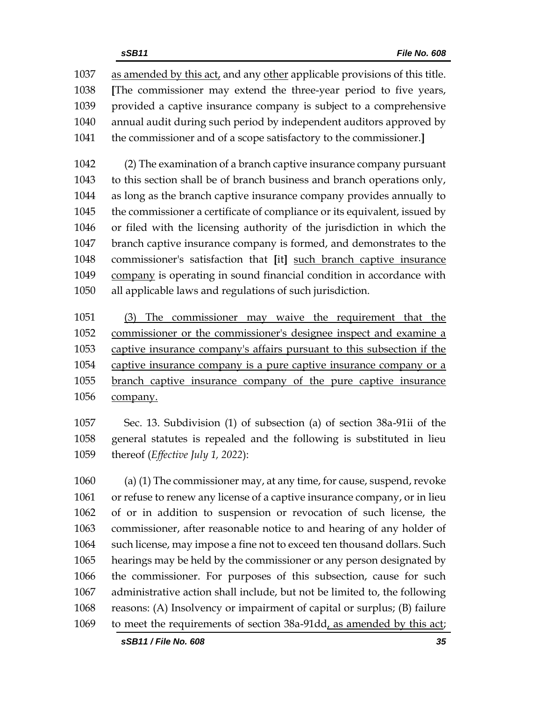as amended by this act, and any other applicable provisions of this title. **[**The commissioner may extend the three-year period to five years, provided a captive insurance company is subject to a comprehensive annual audit during such period by independent auditors approved by

the commissioner and of a scope satisfactory to the commissioner.**]**

 (2) The examination of a branch captive insurance company pursuant to this section shall be of branch business and branch operations only, as long as the branch captive insurance company provides annually to the commissioner a certificate of compliance or its equivalent, issued by or filed with the licensing authority of the jurisdiction in which the branch captive insurance company is formed, and demonstrates to the commissioner's satisfaction that **[**it**]** such branch captive insurance company is operating in sound financial condition in accordance with all applicable laws and regulations of such jurisdiction.

 (3) The commissioner may waive the requirement that the commissioner or the commissioner's designee inspect and examine a captive insurance company's affairs pursuant to this subsection if the captive insurance company is a pure captive insurance company or a branch captive insurance company of the pure captive insurance company.

 Sec. 13. Subdivision (1) of subsection (a) of section 38a-91ii of the general statutes is repealed and the following is substituted in lieu thereof (*Effective July 1, 2022*):

 (a) (1) The commissioner may, at any time, for cause, suspend, revoke or refuse to renew any license of a captive insurance company, or in lieu of or in addition to suspension or revocation of such license, the commissioner, after reasonable notice to and hearing of any holder of such license, may impose a fine not to exceed ten thousand dollars. Such hearings may be held by the commissioner or any person designated by the commissioner. For purposes of this subsection, cause for such administrative action shall include, but not be limited to, the following reasons: (A) Insolvency or impairment of capital or surplus; (B) failure to meet the requirements of section 38a-91dd, as amended by this act;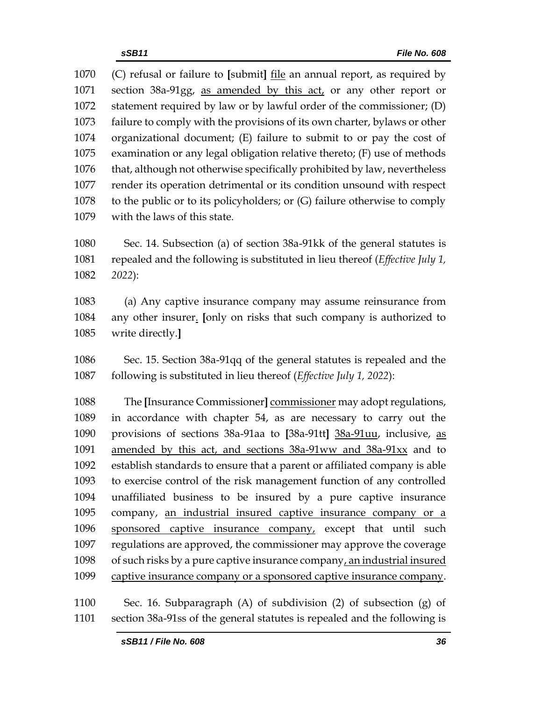(C) refusal or failure to **[**submit**]** file an annual report, as required by section 38a-91gg, as amended by this act, or any other report or statement required by law or by lawful order of the commissioner; (D) failure to comply with the provisions of its own charter, bylaws or other organizational document; (E) failure to submit to or pay the cost of examination or any legal obligation relative thereto; (F) use of methods that, although not otherwise specifically prohibited by law, nevertheless render its operation detrimental or its condition unsound with respect to the public or to its policyholders; or (G) failure otherwise to comply with the laws of this state.

 Sec. 14. Subsection (a) of section 38a-91kk of the general statutes is repealed and the following is substituted in lieu thereof (*Effective July 1, 2022*):

 (a) Any captive insurance company may assume reinsurance from any other insurer. **[**only on risks that such company is authorized to write directly.**]**

 Sec. 15. Section 38a-91qq of the general statutes is repealed and the following is substituted in lieu thereof (*Effective July 1, 2022*):

 The **[**Insurance Commissioner**]** commissioner may adopt regulations, in accordance with chapter 54, as are necessary to carry out the provisions of sections 38a-91aa to **[**38a-91tt**]** 38a-91uu, inclusive, as amended by this act, and sections 38a-91ww and 38a-91xx and to establish standards to ensure that a parent or affiliated company is able to exercise control of the risk management function of any controlled unaffiliated business to be insured by a pure captive insurance company, an industrial insured captive insurance company or a sponsored captive insurance company, except that until such regulations are approved, the commissioner may approve the coverage of such risks by a pure captive insurance company, an industrial insured captive insurance company or a sponsored captive insurance company.

 Sec. 16. Subparagraph (A) of subdivision (2) of subsection (g) of section 38a-91ss of the general statutes is repealed and the following is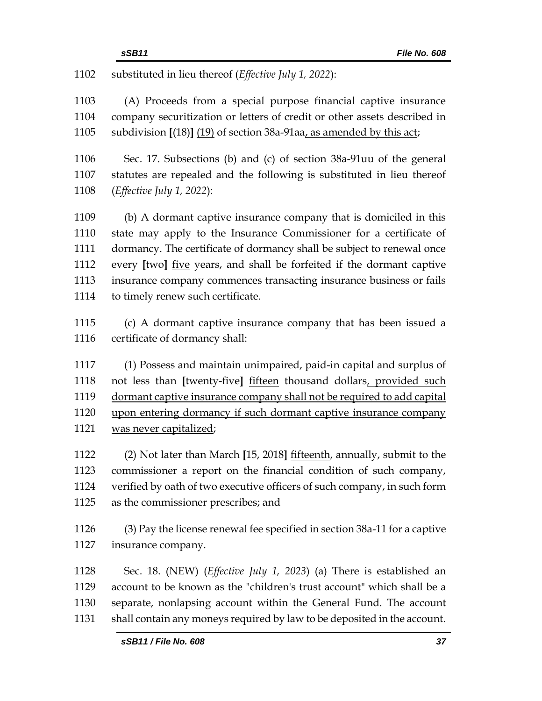substituted in lieu thereof (*Effective July 1, 2022*):

 (A) Proceeds from a special purpose financial captive insurance company securitization or letters of credit or other assets described in subdivision **[**(18)**]** (19) of section 38a-91aa, as amended by this act;

 Sec. 17. Subsections (b) and (c) of section 38a-91uu of the general statutes are repealed and the following is substituted in lieu thereof (*Effective July 1, 2022*):

 (b) A dormant captive insurance company that is domiciled in this state may apply to the Insurance Commissioner for a certificate of dormancy. The certificate of dormancy shall be subject to renewal once every **[**two**]** five years, and shall be forfeited if the dormant captive insurance company commences transacting insurance business or fails to timely renew such certificate.

 (c) A dormant captive insurance company that has been issued a 1116 certificate of dormancy shall:

 (1) Possess and maintain unimpaired, paid-in capital and surplus of not less than **[**twenty-five**]** fifteen thousand dollars, provided such dormant captive insurance company shall not be required to add capital upon entering dormancy if such dormant captive insurance company 1121 was never capitalized;

 (2) Not later than March **[**15, 2018**]** fifteenth, annually, submit to the commissioner a report on the financial condition of such company, verified by oath of two executive officers of such company, in such form as the commissioner prescribes; and

 (3) Pay the license renewal fee specified in section 38a-11 for a captive insurance company.

 Sec. 18. (NEW) (*Effective July 1, 2023*) (a) There is established an account to be known as the "children's trust account" which shall be a separate, nonlapsing account within the General Fund. The account shall contain any moneys required by law to be deposited in the account.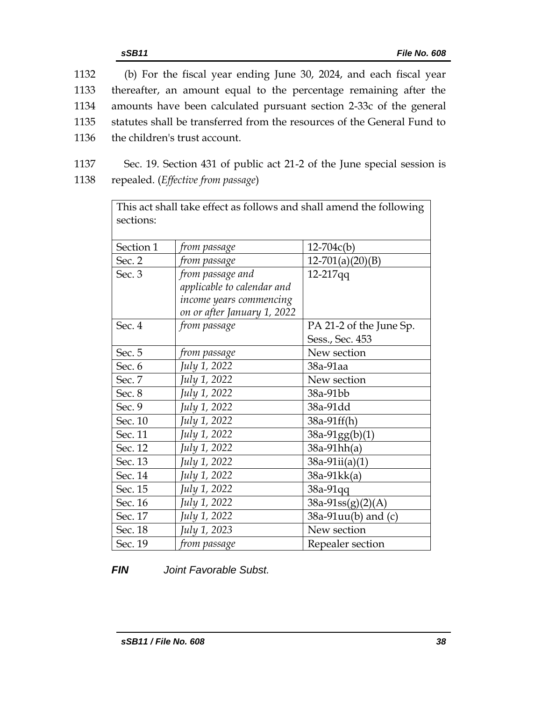| 1132 | (b) For the fiscal year ending June 30, 2024, and each fiscal year      |
|------|-------------------------------------------------------------------------|
| 1133 | thereafter, an amount equal to the percentage remaining after the       |
| 1134 | amounts have been calculated pursuant section 2-33c of the general      |
| 1135 | statutes shall be transferred from the resources of the General Fund to |
| 1136 | the children's trust account.                                           |
|      |                                                                         |

1137 Sec. 19. Section 431 of public act 21-2 of the June special session is 1138 repealed. (*Effective from passage*)

| This act shall take effect as follows and shall amend the following |                             |                         |  |  |  |  |
|---------------------------------------------------------------------|-----------------------------|-------------------------|--|--|--|--|
| sections:                                                           |                             |                         |  |  |  |  |
|                                                                     |                             |                         |  |  |  |  |
| Section 1                                                           | from passage                | $12 - 704c(b)$          |  |  |  |  |
| Sec. 2                                                              | from passage                | $12-701(a)(20)(B)$      |  |  |  |  |
| Sec. 3                                                              | from passage and            | 12-217qq                |  |  |  |  |
|                                                                     | applicable to calendar and  |                         |  |  |  |  |
|                                                                     | income years commencing     |                         |  |  |  |  |
|                                                                     | on or after January 1, 2022 |                         |  |  |  |  |
| Sec. 4                                                              | from passage                | PA 21-2 of the June Sp. |  |  |  |  |
|                                                                     |                             | Sess., Sec. 453         |  |  |  |  |
| Sec. 5                                                              | from passage                | New section             |  |  |  |  |
| Sec. 6                                                              | July 1, 2022                | 38a-91aa                |  |  |  |  |
| Sec. 7                                                              | July 1, 2022                | New section             |  |  |  |  |
| Sec. 8                                                              | July 1, 2022                | 38a-91bb                |  |  |  |  |
| Sec. 9                                                              | July 1, 2022                | 38a-91dd                |  |  |  |  |
| Sec. 10                                                             | July 1, 2022                | 38a-91ff(h)             |  |  |  |  |
| Sec. 11                                                             | July 1, 2022                | $38a-91gg(b)(1)$        |  |  |  |  |
| Sec. 12                                                             | July 1, 2022                | $38a-91hh(a)$           |  |  |  |  |
| Sec. 13                                                             | July 1, 2022                | $38a-91ii(a)(1)$        |  |  |  |  |
| Sec. 14                                                             | July 1, 2022                | 38a-91kk(a)             |  |  |  |  |
| Sec. 15                                                             | July 1, 2022                | 38a-91qq                |  |  |  |  |
| Sec. 16                                                             | July 1, 2022                | $38a-91ss(g)(2)(A)$     |  |  |  |  |
| Sec. 17                                                             | July 1, 2022                | 38a-91uu(b) and (c)     |  |  |  |  |
| Sec. 18                                                             | July 1, 2023                | New section             |  |  |  |  |
| Sec. 19                                                             | from passage                | Repealer section        |  |  |  |  |

*FIN Joint Favorable Subst.*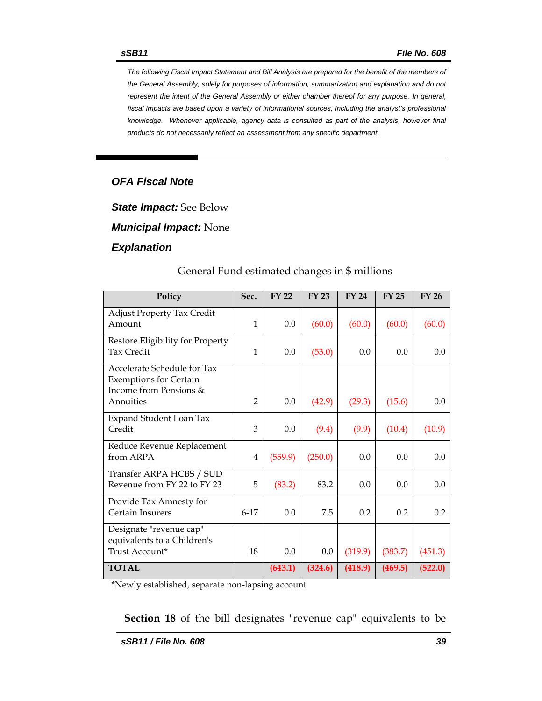*The following Fiscal Impact Statement and Bill Analysis are prepared for the benefit of the members of the General Assembly, solely for purposes of information, summarization and explanation and do not represent the intent of the General Assembly or either chamber thereof for any purpose. In general, fiscal impacts are based upon a variety of informational sources, including the analyst's professional knowledge. Whenever applicable, agency data is consulted as part of the analysis, however final products do not necessarily reflect an assessment from any specific department.*

## *OFA Fiscal Note*

*State Impact:* See Below

*Municipal Impact:* None

#### *Explanation*

| Policy                                                                                              | Sec.           | <b>FY 22</b> | <b>FY 23</b> | <b>FY 24</b> | <b>FY 25</b> | <b>FY 26</b> |
|-----------------------------------------------------------------------------------------------------|----------------|--------------|--------------|--------------|--------------|--------------|
| <b>Adjust Property Tax Credit</b><br>Amount                                                         | 1              | 0.0          | (60.0)       | (60.0)       | (60.0)       | (60.0)       |
| Restore Eligibility for Property<br><b>Tax Credit</b>                                               | 1              | 0.0          | (53.0)       | 0.0          | 0.0          | 0.0          |
| Accelerate Schedule for Tax<br><b>Exemptions for Certain</b><br>Income from Pensions &<br>Annuities | $\mathfrak{D}$ | 0.0          | (42.9)       | (29.3)       | (15.6)       | 0.0          |
| <b>Expand Student Loan Tax</b><br>Credit                                                            | 3              | 0.0          | (9.4)        | (9.9)        | (10.4)       | (10.9)       |
| Reduce Revenue Replacement<br>from ARPA                                                             | 4              | (559.9)      | (250.0)      | 0.0          | 0.0          | 0.0          |
| Transfer ARPA HCBS / SUD<br>Revenue from FY 22 to FY 23                                             | 5              | (83.2)       | 83.2         | 0.0          | 0.0          | 0.0          |
| Provide Tax Amnesty for<br>Certain Insurers                                                         | $6-17$         | 0.0          | 7.5          | 0.2          | 0.2          | 0.2          |
| Designate "revenue cap"<br>equivalents to a Children's<br>Trust Account*                            | 18             | 0.0          | 0.0          | (319.9)      | (383.7)      | (451.3)      |
| <b>TOTAL</b>                                                                                        |                | (643.1)      | (324.6)      | (418.9)      | (469.5)      | (522.0)      |

#### General Fund estimated changes in \$ millions

\*Newly established, separate non-lapsing account

**Section 18** of the bill designates "revenue cap" equivalents to be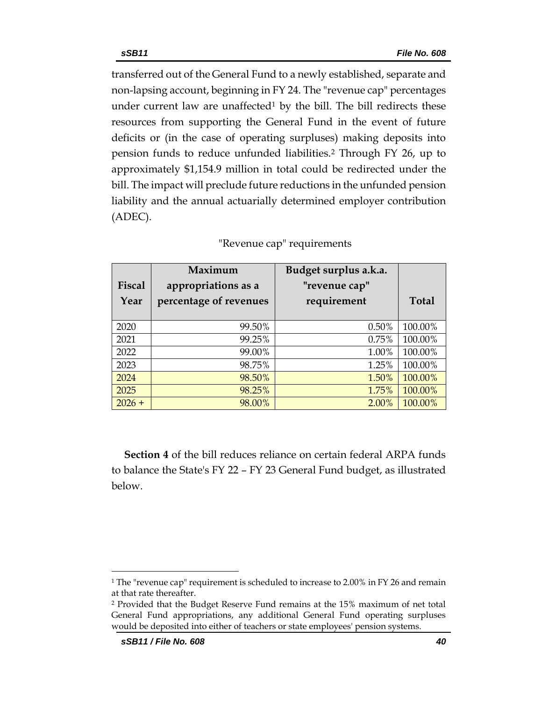transferred out of the General Fund to a newly established, separate and non-lapsing account, beginning in FY 24. The "revenue cap" percentages under current law are unaffected<sup>1</sup> by the bill. The bill redirects these resources from supporting the General Fund in the event of future deficits or (in the case of operating surpluses) making deposits into pension funds to reduce unfunded liabilities.<sup>2</sup> Through FY 26, up to approximately \$1,154.9 million in total could be redirected under the bill. The impact will preclude future reductions in the unfunded pension liability and the annual actuarially determined employer contribution (ADEC).

|          | Maximum                | Budget surplus a.k.a. |              |
|----------|------------------------|-----------------------|--------------|
| Fiscal   | appropriations as a    | "revenue cap"         |              |
| Year     | percentage of revenues | requirement           | <b>Total</b> |
|          |                        |                       |              |
| 2020     | 99.50%                 | 0.50%                 | 100.00%      |
| 2021     | 99.25%                 | 0.75%                 | 100.00%      |
| 2022     | 99.00%                 | 1.00%                 | 100.00%      |
| 2023     | 98.75%                 | 1.25%                 | 100.00%      |
| 2024     | 98.50%                 | 1.50%                 | 100.00%      |
| 2025     | 98.25%                 | 1.75%                 | 100.00%      |
| $2026 +$ | 98.00%                 | 2.00%                 | 100.00%      |

| "Revenue cap" requirements |  |  |  |
|----------------------------|--|--|--|
|----------------------------|--|--|--|

**Section 4** of the bill reduces reliance on certain federal ARPA funds to balance the State's FY 22 – FY 23 General Fund budget, as illustrated below.

<sup>1</sup> The "revenue cap" requirement is scheduled to increase to 2.00% in FY 26 and remain at that rate thereafter.

<sup>2</sup> Provided that the Budget Reserve Fund remains at the 15% maximum of net total General Fund appropriations, any additional General Fund operating surpluses would be deposited into either of teachers or state employees' pension systems.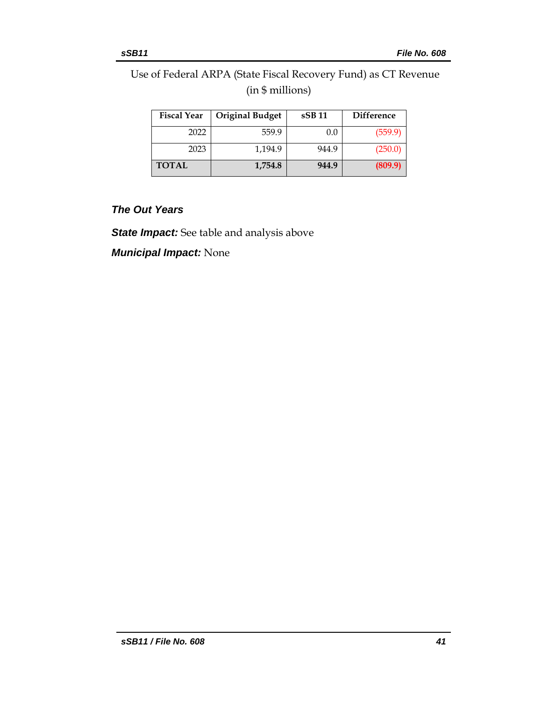Use of Federal ARPA (State Fiscal Recovery Fund) as CT Revenue (in \$ millions)

| <b>Fiscal Year</b> | <b>Original Budget</b> | $sSB$ 11 | <b>Difference</b> |
|--------------------|------------------------|----------|-------------------|
| 2022               | 559.9                  | 0.0      | (559.9)           |
| 2023               | 1,194.9                | 944.9    | (250.0)           |
| <b>TOTAL</b>       | 1.754.8                | 944.9    | (809.9)           |

## *The Out Years*

*State Impact:* See table and analysis above

*Municipal Impact:* None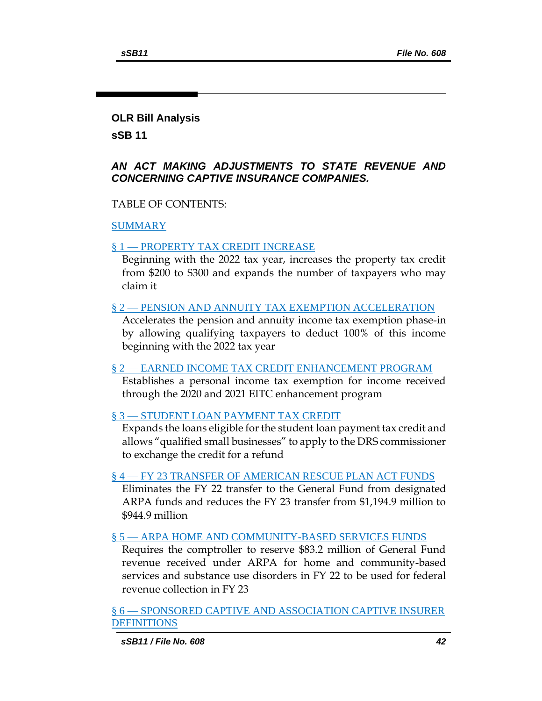#### **OLR Bill Analysis**

**sSB 11**

## *AN ACT MAKING ADJUSTMENTS TO STATE REVENUE AND CONCERNING CAPTIVE INSURANCE COMPANIES.*

#### TABLE OF CONTENTS:

[SUMMARY](#page-43-0)

#### § 1 — [PROPERTY TAX CREDIT INCREASE](#page-43-1)

[Beginning with the 2022 tax year, increases the property tax credit](#page-44-0)  [from \\$200 to \\$300 and expands the number of taxpayers who may](#page-44-0)  [claim it](#page-44-0)

#### § 2 — [PENSION AND ANNUITY TAX EXEMPTION ACCELERATION](#page-44-1)

[Accelerates the pension and annuity income tax exemption phase-in](#page-44-2)  [by allowing qualifying taxpayers to deduct 100% of this income](#page-44-2)  [beginning with the 2022 tax year](#page-44-2)

### § 2 — EARNED [INCOME TAX CREDIT ENHANCEMENT PROGRAM](#page-44-3)

[Establishes a personal income tax exemption for income received](#page-44-4)  [through the 2020 and 2021 EITC enhancement program](#page-44-4)

#### § 3 — [STUDENT LOAN PAYMENT TAX CREDIT](#page-45-0)

[Expands the loans eligible for the student loan payment tax credit and](#page-45-1)  [allows "qualified small businesses" to apply to the DRS commissioner](#page-45-1)  [to exchange the credit for a refund](#page-45-1)

#### § 4 — [FY 23 TRANSFER OF AMERICAN RESCUE PLAN ACT FUNDS](#page-46-0)

[Eliminates the FY 22 transfer to the General Fund from designated](#page-46-1)  [ARPA funds and reduces the FY 23 transfer from \\$1,194.9 million to](#page-46-1)  [\\$944.9 million](#page-46-1)

#### § 5 — [ARPA HOME AND COMMUNITY-BASED SERVICES FUNDS](#page-46-2)

[Requires the comptroller to reserve \\$83.2 million of General Fund](#page-47-0)  [revenue received under ARPA for home and community-based](#page-47-0)  [services and substance use disorders in FY 22 to be used for federal](#page-47-0)  [revenue collection in FY 23](#page-47-0)

§ 6 — [SPONSORED CAPTIVE AND ASSOCIATION CAPTIVE INSURER](#page-47-1)  [DEFINITIONS](#page-47-1)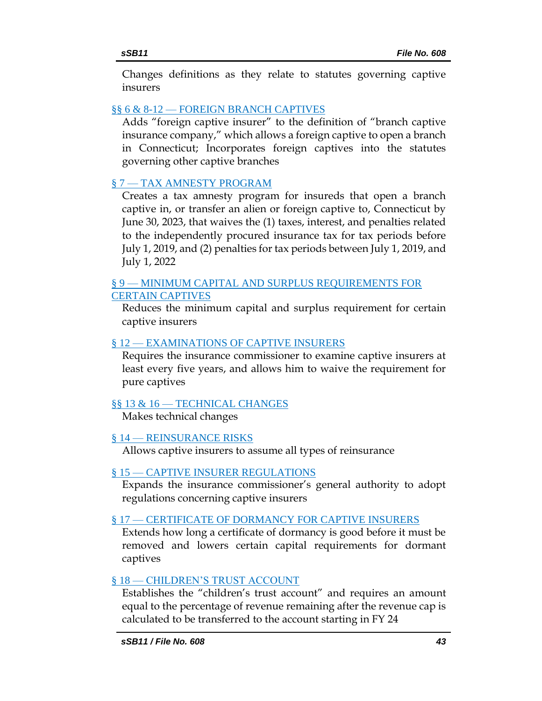[Changes definitions as they relate to statutes governing captive](#page-47-2)  [insurers](#page-47-2)

## §§ 6 & 8-12 — [FOREIGN BRANCH CAPTIVES](#page-47-3)

Adds "foreign captive insurer" [to the definition of "branch captive](#page-48-0)  [insurance company," which allows a foreign captive to open a branch](#page-48-0)  [in Connecticut; Incorporates foreign captives into the statutes](#page-48-0)  [governing other captive branches](#page-48-0)

## § 7 — [TAX AMNESTY PROGRAM](#page-50-0)

[Creates a tax amnesty program for insureds that open a branch](#page-51-0)  [captive in, or transfer an alien or foreign captive to, Connecticut by](#page-51-0)  [June 30, 2023, that waives the \(1\) taxes, interest, and penalties related](#page-51-0)  [to the independently procured insurance tax for tax periods before](#page-51-0)  [July 1, 2019, and \(2\) penalties for tax periods between July 1, 2019, and](#page-51-0)  [July 1, 2022](#page-51-0)

## § 9 — [MINIMUM CAPITAL AND SURPLUS REQUIREMENTS FOR](#page-51-1)  [CERTAIN CAPTIVES](#page-51-1)

[Reduces the minimum capital and surplus requirement for certain](#page-51-2)  [captive insurers](#page-51-2)

## § 12 — [EXAMINATIONS OF CAPTIVE INSURERS](#page-52-0)

[Requires the insurance commissioner to examine captive insurers at](#page-52-1)  [least every five years, and allows him to waive the requirement for](#page-52-1)  [pure captives](#page-52-1)

## §§ 13 & 16 — [TECHNICAL CHANGES](#page-52-2)

[Makes technical changes](#page-52-3)

## § 14 — [REINSURANCE RISKS](#page-52-4)

[Allows captive insurers to assume all types of reinsurance](#page-52-5)

## § 15 — [CAPTIVE INSURER REGULATIONS](#page-53-0)

[Expands the insurance commissioner's general authority to adopt](#page-53-1)  [regulations concerning captive insurers](#page-53-1)

## § 17 — [CERTIFICATE OF DORMANCY FOR CAPTIVE INSURERS](#page-53-2)

[Extends how long a certificate of dormancy is good before it must be](#page-53-3)  [removed and lowers certain capital requirements for dormant](#page-53-3)  [captives](#page-53-3)

## § 18 — [CHILDREN'S TRUST ACCOUNT](#page-53-4)

[Establishes the "children's trust account" and requires](#page-54-0) an amount [equal to the percentage of revenue remaining after the revenue cap is](#page-54-0)  [calculated to be transferred to the account starting in FY 24](#page-54-0)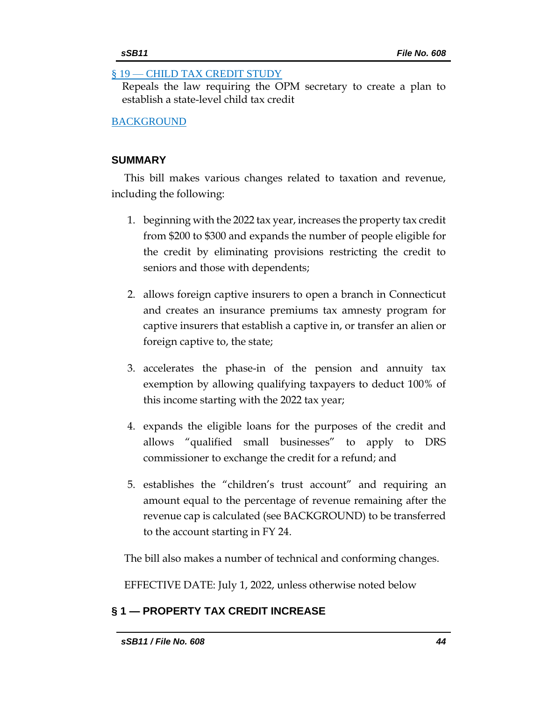## § 19 — [CHILD TAX CREDIT STUDY](#page-54-1)

[Repeals the law requiring the OPM secretary to create a plan to](#page-54-2)  [establish a state-level child tax credit](#page-54-2)

## [BACKGROUND](#page-54-3)

## <span id="page-43-0"></span>**SUMMARY**

This bill makes various changes related to taxation and revenue, including the following:

- 1. beginning with the 2022 tax year, increases the property tax credit from \$200 to \$300 and expands the number of people eligible for the credit by eliminating provisions restricting the credit to seniors and those with dependents;
- 2. allows foreign captive insurers to open a branch in Connecticut and creates an insurance premiums tax amnesty program for captive insurers that establish a captive in, or transfer an alien or foreign captive to, the state;
- 3. accelerates the phase-in of the pension and annuity tax exemption by allowing qualifying taxpayers to deduct 100% of this income starting with the 2022 tax year;
- 4. expands the eligible loans for the purposes of the credit and allows "qualified small businesses" to apply to DRS commissioner to exchange the credit for a refund; and
- 5. establishes the "children's trust account" and requiring an amount equal to the percentage of revenue remaining after the revenue cap is calculated (see BACKGROUND) to be transferred to the account starting in FY 24.

The bill also makes a number of technical and conforming changes.

EFFECTIVE DATE: July 1, 2022, unless otherwise noted below

## <span id="page-43-1"></span>**§ 1 — PROPERTY TAX CREDIT INCREASE**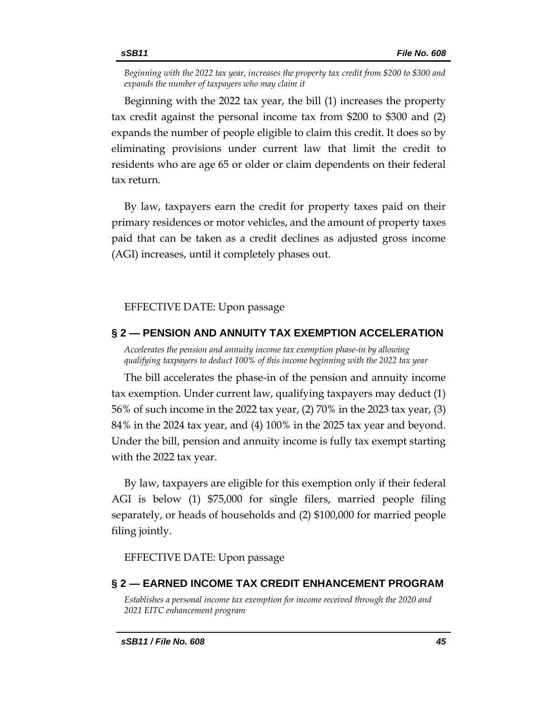<span id="page-44-0"></span>*Beginning with the 2022 tax year, increases the property tax credit from \$200 to \$300 and expands the number of taxpayers who may claim it* 

Beginning with the 2022 tax year, the bill (1) increases the property tax credit against the personal income tax from \$200 to \$300 and (2) expands the number of people eligible to claim this credit. It does so by eliminating provisions under current law that limit the credit to residents who are age 65 or older or claim dependents on their federal tax return.

By law, taxpayers earn the credit for property taxes paid on their primary residences or motor vehicles, and the amount of property taxes paid that can be taken as a credit declines as adjusted gross income (AGI) increases, until it completely phases out.

#### EFFECTIVE DATE: Upon passage

#### <span id="page-44-1"></span>**§ 2 — PENSION AND ANNUITY TAX EXEMPTION ACCELERATION**

<span id="page-44-2"></span>*Accelerates the pension and annuity income tax exemption phase-in by allowing qualifying taxpayers to deduct 100% of this income beginning with the 2022 tax year* 

The bill accelerates the phase-in of the pension and annuity income tax exemption. Under current law, qualifying taxpayers may deduct (1) 56% of such income in the 2022 tax year, (2) 70% in the 2023 tax year, (3) 84% in the 2024 tax year, and (4) 100% in the 2025 tax year and beyond. Under the bill, pension and annuity income is fully tax exempt starting with the 2022 tax year.

By law, taxpayers are eligible for this exemption only if their federal AGI is below (1) \$75,000 for single filers, married people filing separately, or heads of households and (2) \$100,000 for married people filing jointly.

EFFECTIVE DATE: Upon passage

## <span id="page-44-3"></span>**§ 2 — EARNED INCOME TAX CREDIT ENHANCEMENT PROGRAM**

<span id="page-44-4"></span>*Establishes a personal income tax exemption for income received through the 2020 and 2021 EITC enhancement program*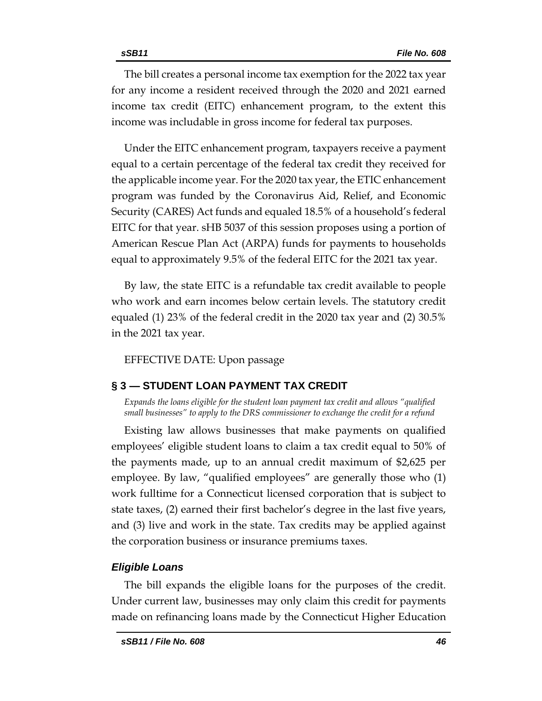The bill creates a personal income tax exemption for the 2022 tax year for any income a resident received through the 2020 and 2021 earned income tax credit (EITC) enhancement program, to the extent this income was includable in gross income for federal tax purposes.

Under the EITC enhancement program, taxpayers receive a payment equal to a certain percentage of the federal tax credit they received for the applicable income year. For the 2020 tax year, the ETIC enhancement program was funded by the Coronavirus Aid, Relief, and Economic Security (CARES) Act funds and equaled 18.5% of a household's federal EITC for that year. sHB 5037 of this session proposes using a portion of American Rescue Plan Act (ARPA) funds for payments to households equal to approximately 9.5% of the federal EITC for the 2021 tax year.

By law, the state EITC is a refundable tax credit available to people who work and earn incomes below certain levels. The statutory credit equaled (1) 23% of the federal credit in the 2020 tax year and (2) 30.5% in the 2021 tax year.

EFFECTIVE DATE: Upon passage

#### <span id="page-45-0"></span>**§ 3 — STUDENT LOAN PAYMENT TAX CREDIT**

<span id="page-45-1"></span>*Expands the loans eligible for the student loan payment tax credit and allows "qualified small businesses" to apply to the DRS commissioner to exchange the credit for a refund* 

Existing law allows businesses that make payments on qualified employees' eligible student loans to claim a tax credit equal to 50% of the payments made, up to an annual credit maximum of \$2,625 per employee. By law, "qualified employees" are generally those who (1) work fulltime for a Connecticut licensed corporation that is subject to state taxes, (2) earned their first bachelor's degree in the last five years, and (3) live and work in the state. Tax credits may be applied against the corporation business or insurance premiums taxes.

#### *Eligible Loans*

The bill expands the eligible loans for the purposes of the credit. Under current law, businesses may only claim this credit for payments made on refinancing loans made by the Connecticut Higher Education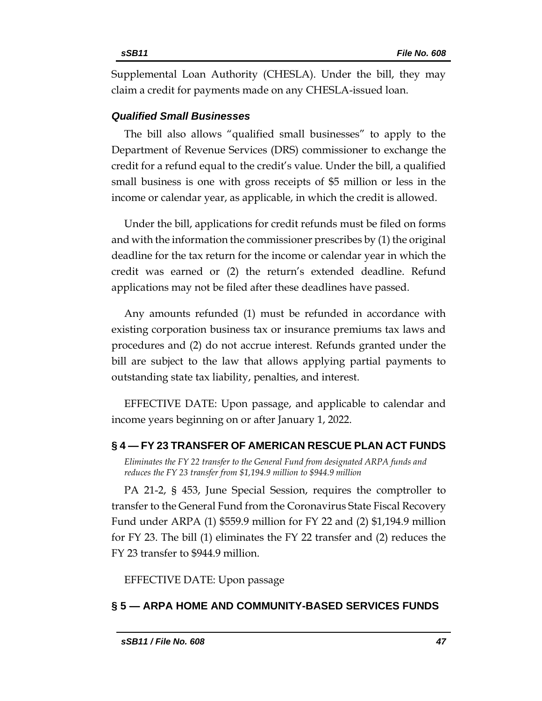Supplemental Loan Authority (CHESLA). Under the bill, they may claim a credit for payments made on any CHESLA-issued loan.

#### *Qualified Small Businesses*

The bill also allows "qualified small businesses" to apply to the Department of Revenue Services (DRS) commissioner to exchange the credit for a refund equal to the credit's value. Under the bill, a qualified small business is one with gross receipts of \$5 million or less in the income or calendar year, as applicable, in which the credit is allowed.

Under the bill, applications for credit refunds must be filed on forms and with the information the commissioner prescribes by (1) the original deadline for the tax return for the income or calendar year in which the credit was earned or (2) the return's extended deadline. Refund applications may not be filed after these deadlines have passed.

Any amounts refunded (1) must be refunded in accordance with existing corporation business tax or insurance premiums tax laws and procedures and (2) do not accrue interest. Refunds granted under the bill are subject to the law that allows applying partial payments to outstanding state tax liability, penalties, and interest.

EFFECTIVE DATE: Upon passage, and applicable to calendar and income years beginning on or after January 1, 2022.

#### <span id="page-46-0"></span>**§ 4 — FY 23 TRANSFER OF AMERICAN RESCUE PLAN ACT FUNDS**

<span id="page-46-1"></span>*Eliminates the FY 22 transfer to the General Fund from designated ARPA funds and reduces the FY 23 transfer from \$1,194.9 million to \$944.9 million* 

PA 21-2, § 453, June Special Session, requires the comptroller to transfer to the General Fund from the Coronavirus State Fiscal Recovery Fund under ARPA (1) \$559.9 million for FY 22 and (2) \$1,194.9 million for FY 23. The bill (1) eliminates the FY 22 transfer and (2) reduces the FY 23 transfer to \$944.9 million.

EFFECTIVE DATE: Upon passage

## <span id="page-46-2"></span>**§ 5 — ARPA HOME AND COMMUNITY-BASED SERVICES FUNDS**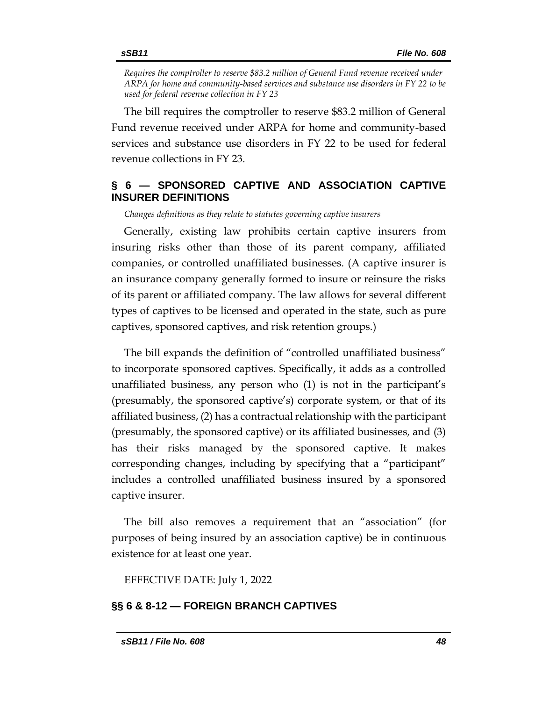<span id="page-47-0"></span>*Requires the comptroller to reserve \$83.2 million of General Fund revenue received under ARPA for home and community-based services and substance use disorders in FY 22 to be used for federal revenue collection in FY 23*

The bill requires the comptroller to reserve \$83.2 million of General Fund revenue received under ARPA for home and community-based services and substance use disorders in FY 22 to be used for federal revenue collections in FY 23.

## <span id="page-47-1"></span>**§ 6 — SPONSORED CAPTIVE AND ASSOCIATION CAPTIVE INSURER DEFINITIONS**

<span id="page-47-2"></span>*Changes definitions as they relate to statutes governing captive insurers*

Generally, existing law prohibits certain captive insurers from insuring risks other than those of its parent company, affiliated companies, or controlled unaffiliated businesses. (A captive insurer is an insurance company generally formed to insure or reinsure the risks of its parent or affiliated company. The law allows for several different types of captives to be licensed and operated in the state, such as pure captives, sponsored captives, and risk retention groups.)

The bill expands the definition of "controlled unaffiliated business" to incorporate sponsored captives. Specifically, it adds as a controlled unaffiliated business, any person who (1) is not in the participant's (presumably, the sponsored captive's) corporate system, or that of its affiliated business, (2) has a contractual relationship with the participant (presumably, the sponsored captive) or its affiliated businesses, and (3) has their risks managed by the sponsored captive. It makes corresponding changes, including by specifying that a "participant" includes a controlled unaffiliated business insured by a sponsored captive insurer.

The bill also removes a requirement that an "association" (for purposes of being insured by an association captive) be in continuous existence for at least one year.

EFFECTIVE DATE: July 1, 2022

## <span id="page-47-3"></span>**§§ 6 & 8-12 — FOREIGN BRANCH CAPTIVES**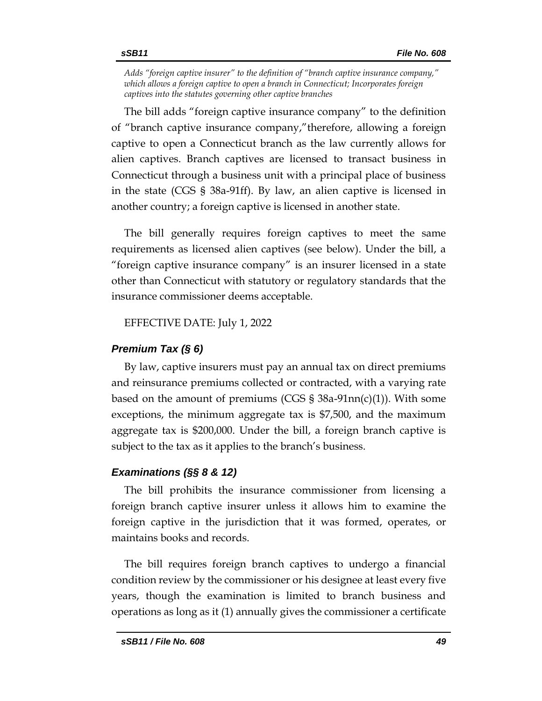<span id="page-48-0"></span>*Adds "foreign captive insurer" to the definition of "branch captive insurance company," which allows a foreign captive to open a branch in Connecticut; Incorporates foreign captives into the statutes governing other captive branches* 

The bill adds "foreign captive insurance company" to the definition of "branch captive insurance company,"therefore, allowing a foreign captive to open a Connecticut branch as the law currently allows for alien captives. Branch captives are licensed to transact business in Connecticut through a business unit with a principal place of business in the state (CGS § 38a-91ff). By law, an alien captive is licensed in another country; a foreign captive is licensed in another state.

The bill generally requires foreign captives to meet the same requirements as licensed alien captives (see below). Under the bill, a "foreign captive insurance company" is an insurer licensed in a state other than Connecticut with statutory or regulatory standards that the insurance commissioner deems acceptable.

EFFECTIVE DATE: July 1, 2022

## *Premium Tax (§ 6)*

By law, captive insurers must pay an annual tax on direct premiums and reinsurance premiums collected or contracted, with a varying rate based on the amount of premiums (CGS  $\S$  38a-91nn(c)(1)). With some exceptions, the minimum aggregate tax is \$7,500, and the maximum aggregate tax is \$200,000. Under the bill, a foreign branch captive is subject to the tax as it applies to the branch's business.

## *Examinations (§§ 8 & 12)*

The bill prohibits the insurance commissioner from licensing a foreign branch captive insurer unless it allows him to examine the foreign captive in the jurisdiction that it was formed, operates, or maintains books and records.

The bill requires foreign branch captives to undergo a financial condition review by the commissioner or his designee at least every five years, though the examination is limited to branch business and operations as long as it (1) annually gives the commissioner a certificate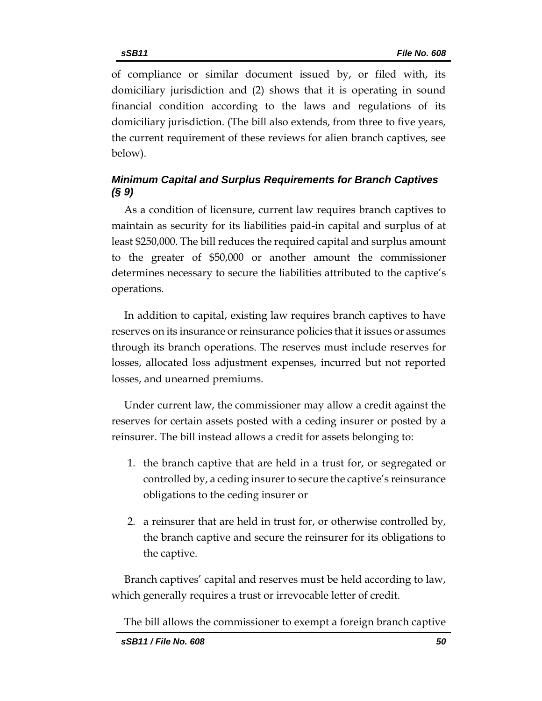of compliance or similar document issued by, or filed with, its domiciliary jurisdiction and (2) shows that it is operating in sound financial condition according to the laws and regulations of its domiciliary jurisdiction. (The bill also extends, from three to five years, the current requirement of these reviews for alien branch captives, see below).

## *Minimum Capital and Surplus Requirements for Branch Captives (§ 9)*

As a condition of licensure, current law requires branch captives to maintain as security for its liabilities paid-in capital and surplus of at least \$250,000. The bill reduces the required capital and surplus amount to the greater of \$50,000 or another amount the commissioner determines necessary to secure the liabilities attributed to the captive's operations.

In addition to capital, existing law requires branch captives to have reserves on its insurance or reinsurance policies that it issues or assumes through its branch operations. The reserves must include reserves for losses, allocated loss adjustment expenses, incurred but not reported losses, and unearned premiums.

Under current law, the commissioner may allow a credit against the reserves for certain assets posted with a ceding insurer or posted by a reinsurer. The bill instead allows a credit for assets belonging to:

- 1. the branch captive that are held in a trust for, or segregated or controlled by, a ceding insurer to secure the captive's reinsurance obligations to the ceding insurer or
- 2. a reinsurer that are held in trust for, or otherwise controlled by, the branch captive and secure the reinsurer for its obligations to the captive.

Branch captives' capital and reserves must be held according to law, which generally requires a trust or irrevocable letter of credit.

The bill allows the commissioner to exempt a foreign branch captive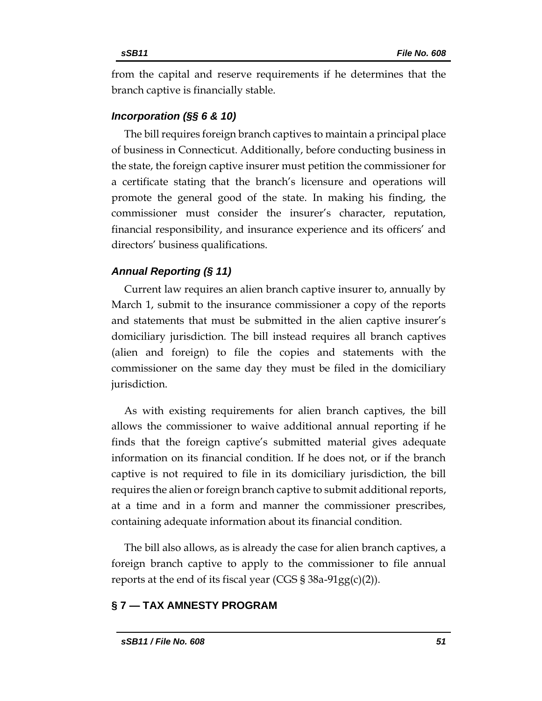from the capital and reserve requirements if he determines that the branch captive is financially stable.

## *Incorporation (§§ 6 & 10)*

The bill requires foreign branch captives to maintain a principal place of business in Connecticut. Additionally, before conducting business in the state, the foreign captive insurer must petition the commissioner for a certificate stating that the branch's licensure and operations will promote the general good of the state. In making his finding, the commissioner must consider the insurer's character, reputation, financial responsibility, and insurance experience and its officers' and directors' business qualifications.

## *Annual Reporting (§ 11)*

Current law requires an alien branch captive insurer to, annually by March 1, submit to the insurance commissioner a copy of the reports and statements that must be submitted in the alien captive insurer's domiciliary jurisdiction. The bill instead requires all branch captives (alien and foreign) to file the copies and statements with the commissioner on the same day they must be filed in the domiciliary jurisdiction.

As with existing requirements for alien branch captives, the bill allows the commissioner to waive additional annual reporting if he finds that the foreign captive's submitted material gives adequate information on its financial condition. If he does not, or if the branch captive is not required to file in its domiciliary jurisdiction, the bill requires the alien or foreign branch captive to submit additional reports, at a time and in a form and manner the commissioner prescribes, containing adequate information about its financial condition.

The bill also allows, as is already the case for alien branch captives, a foreign branch captive to apply to the commissioner to file annual reports at the end of its fiscal year (CGS  $\S$  38a-91gg(c)(2)).

## <span id="page-50-0"></span>**§ 7 — TAX AMNESTY PROGRAM**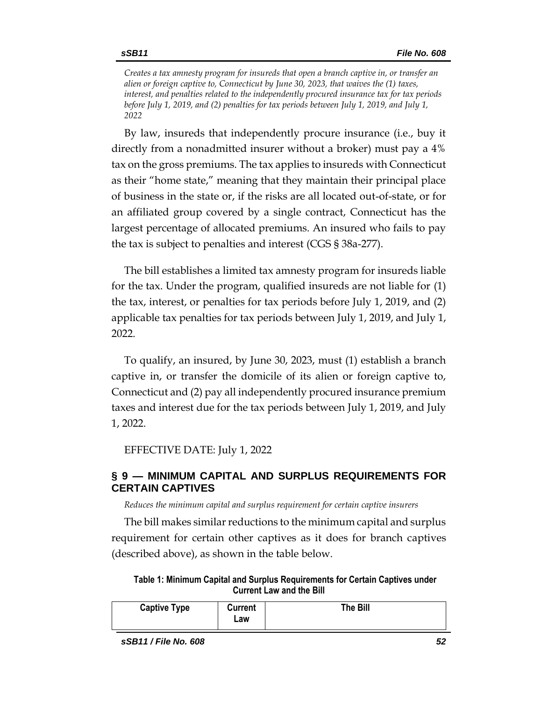<span id="page-51-0"></span>*Creates a tax amnesty program for insureds that open a branch captive in, or transfer an alien or foreign captive to, Connecticut by June 30, 2023, that waives the (1) taxes, interest, and penalties related to the independently procured insurance tax for tax periods before July 1, 2019, and (2) penalties for tax periods between July 1, 2019, and July 1, 2022*

By law, insureds that independently procure insurance (i.e., buy it directly from a nonadmitted insurer without a broker) must pay a 4% tax on the gross premiums. The tax applies to insureds with Connecticut as their "home state," meaning that they maintain their principal place of business in the state or, if the risks are all located out-of-state, or for an affiliated group covered by a single contract, Connecticut has the largest percentage of allocated premiums. An insured who fails to pay the tax is subject to penalties and interest (CGS § 38a-277).

The bill establishes a limited tax amnesty program for insureds liable for the tax. Under the program, qualified insureds are not liable for (1) the tax, interest, or penalties for tax periods before July 1, 2019, and (2) applicable tax penalties for tax periods between July 1, 2019, and July 1, 2022.

To qualify, an insured, by June 30, 2023, must (1) establish a branch captive in, or transfer the domicile of its alien or foreign captive to, Connecticut and (2) pay all independently procured insurance premium taxes and interest due for the tax periods between July 1, 2019, and July 1, 2022.

EFFECTIVE DATE: July 1, 2022

## <span id="page-51-1"></span>**§ 9 — MINIMUM CAPITAL AND SURPLUS REQUIREMENTS FOR CERTAIN CAPTIVES**

<span id="page-51-2"></span>*Reduces the minimum capital and surplus requirement for certain captive insurers*

The bill makes similar reductions to the minimum capital and surplus requirement for certain other captives as it does for branch captives (described above), as shown in the table below.

**Table 1: Minimum Capital and Surplus Requirements for Certain Captives under Current Law and the Bill**

| <b>Captive Type</b> | Current<br>Law | The Bill |
|---------------------|----------------|----------|
|                     |                |          |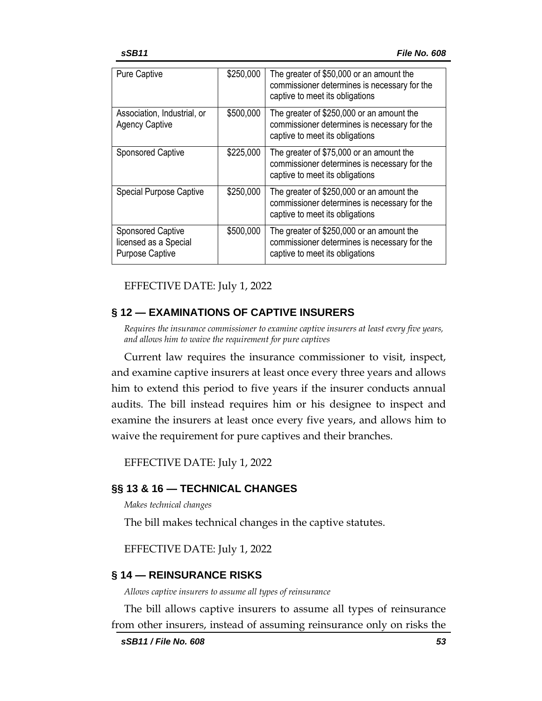| <b>Pure Captive</b>                                                         | \$250,000 | The greater of \$50,000 or an amount the<br>commissioner determines is necessary for the<br>captive to meet its obligations  |
|-----------------------------------------------------------------------------|-----------|------------------------------------------------------------------------------------------------------------------------------|
| Association, Industrial, or<br><b>Agency Captive</b>                        | \$500,000 | The greater of \$250,000 or an amount the<br>commissioner determines is necessary for the<br>captive to meet its obligations |
| <b>Sponsored Captive</b>                                                    | \$225,000 | The greater of \$75,000 or an amount the<br>commissioner determines is necessary for the<br>captive to meet its obligations  |
| Special Purpose Captive                                                     | \$250,000 | The greater of \$250,000 or an amount the<br>commissioner determines is necessary for the<br>captive to meet its obligations |
| <b>Sponsored Captive</b><br>licensed as a Special<br><b>Purpose Captive</b> | \$500,000 | The greater of \$250,000 or an amount the<br>commissioner determines is necessary for the<br>captive to meet its obligations |

EFFECTIVE DATE: July 1, 2022

## <span id="page-52-0"></span>**§ 12 — EXAMINATIONS OF CAPTIVE INSURERS**

<span id="page-52-1"></span>*Requires the insurance commissioner to examine captive insurers at least every five years, and allows him to waive the requirement for pure captives*

Current law requires the insurance commissioner to visit, inspect, and examine captive insurers at least once every three years and allows him to extend this period to five years if the insurer conducts annual audits. The bill instead requires him or his designee to inspect and examine the insurers at least once every five years, and allows him to waive the requirement for pure captives and their branches.

EFFECTIVE DATE: July 1, 2022

## <span id="page-52-2"></span>**§§ 13 & 16 — TECHNICAL CHANGES**

<span id="page-52-3"></span>*Makes technical changes*

The bill makes technical changes in the captive statutes.

EFFECTIVE DATE: July 1, 2022

#### <span id="page-52-4"></span>**§ 14 — REINSURANCE RISKS**

<span id="page-52-5"></span>*Allows captive insurers to assume all types of reinsurance*

The bill allows captive insurers to assume all types of reinsurance from other insurers, instead of assuming reinsurance only on risks the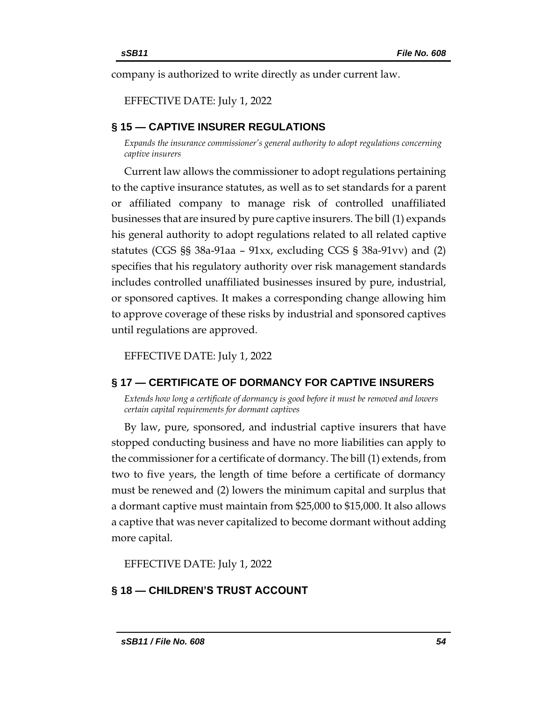company is authorized to write directly as under current law.

EFFECTIVE DATE: July 1, 2022

## <span id="page-53-0"></span>**§ 15 — CAPTIVE INSURER REGULATIONS**

<span id="page-53-1"></span>*Expands the insurance commissioner's general authority to adopt regulations concerning captive insurers*

Current law allows the commissioner to adopt regulations pertaining to the captive insurance statutes, as well as to set standards for a parent or affiliated company to manage risk of controlled unaffiliated businesses that are insured by pure captive insurers. The bill (1) expands his general authority to adopt regulations related to all related captive statutes (CGS §§ 38a-91aa – 91xx, excluding CGS § 38a-91vv) and (2) specifies that his regulatory authority over risk management standards includes controlled unaffiliated businesses insured by pure, industrial, or sponsored captives. It makes a corresponding change allowing him to approve coverage of these risks by industrial and sponsored captives until regulations are approved.

EFFECTIVE DATE: July 1, 2022

## <span id="page-53-2"></span>**§ 17 — CERTIFICATE OF DORMANCY FOR CAPTIVE INSURERS**

<span id="page-53-3"></span>*Extends how long a certificate of dormancy is good before it must be removed and lowers certain capital requirements for dormant captives*

By law, pure, sponsored, and industrial captive insurers that have stopped conducting business and have no more liabilities can apply to the commissioner for a certificate of dormancy. The bill (1) extends, from two to five years, the length of time before a certificate of dormancy must be renewed and (2) lowers the minimum capital and surplus that a dormant captive must maintain from \$25,000 to \$15,000. It also allows a captive that was never capitalized to become dormant without adding more capital.

EFFECTIVE DATE: July 1, 2022

## <span id="page-53-4"></span>**§ 18 — CHILDREN'S TRUST ACCOUNT**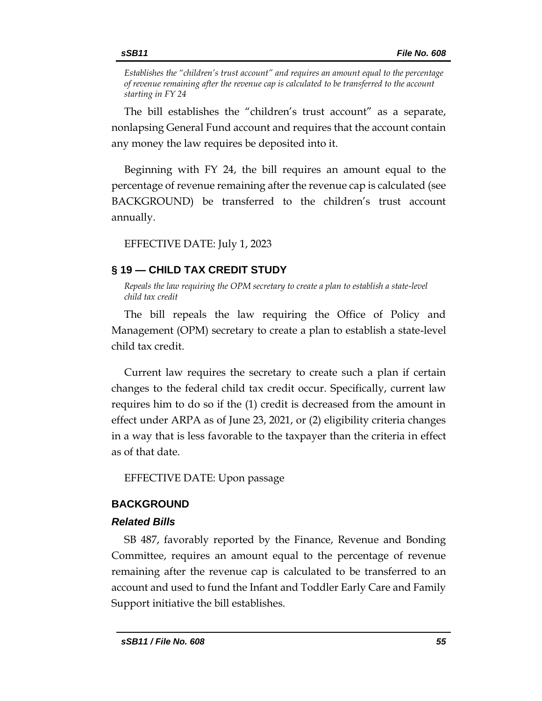<span id="page-54-0"></span>*Establishes the "children's trust account" and requires an amount equal to the percentage of revenue remaining after the revenue cap is calculated to be transferred to the account starting in FY 24*

The bill establishes the "children's trust account" as a separate, nonlapsing General Fund account and requires that the account contain any money the law requires be deposited into it.

Beginning with FY 24, the bill requires an amount equal to the percentage of revenue remaining after the revenue cap is calculated (see BACKGROUND) be transferred to the children's trust account annually.

EFFECTIVE DATE: July 1, 2023

## <span id="page-54-1"></span>**§ 19 — CHILD TAX CREDIT STUDY**

<span id="page-54-2"></span>*Repeals the law requiring the OPM secretary to create a plan to establish a state-level child tax credit*

The bill repeals the law requiring the Office of Policy and Management (OPM) secretary to create a plan to establish a state-level child tax credit.

Current law requires the secretary to create such a plan if certain changes to the federal child tax credit occur. Specifically, current law requires him to do so if the (1) credit is decreased from the amount in effect under ARPA as of June 23, 2021, or (2) eligibility criteria changes in a way that is less favorable to the taxpayer than the criteria in effect as of that date.

EFFECTIVE DATE: Upon passage

## <span id="page-54-3"></span>**BACKGROUND**

## *Related Bills*

SB 487, favorably reported by the Finance, Revenue and Bonding Committee, requires an amount equal to the percentage of revenue remaining after the revenue cap is calculated to be transferred to an account and used to fund the Infant and Toddler Early Care and Family Support initiative the bill establishes.